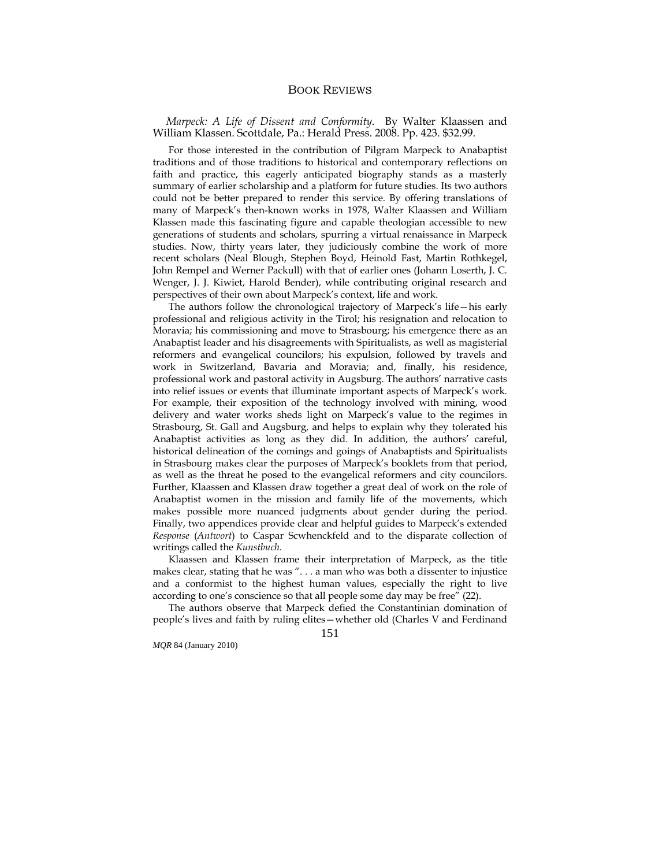## BOOK REVIEWS

*Marpeck: A Life of Dissent and Conformity*. By Walter Klaassen and William Klassen. Scottdale, Pa.: Herald Press. 2008. Pp. 423. \$32.99.

 For those interested in the contribution of Pilgram Marpeck to Anabaptist traditions and of those traditions to historical and contemporary reflections on faith and practice, this eagerly anticipated biography stands as a masterly summary of earlier scholarship and a platform for future studies. Its two authors could not be better prepared to render this service. By offering translations of many of Marpeck's then-known works in 1978, Walter Klaassen and William Klassen made this fascinating figure and capable theologian accessible to new generations of students and scholars, spurring a virtual renaissance in Marpeck studies. Now, thirty years later, they judiciously combine the work of more recent scholars (Neal Blough, Stephen Boyd, Heinold Fast, Martin Rothkegel, John Rempel and Werner Packull) with that of earlier ones (Johann Loserth, J. C. Wenger, J. J. Kiwiet, Harold Bender), while contributing original research and perspectives of their own about Marpeck's context, life and work.

 The authors follow the chronological trajectory of Marpeck's life—his early professional and religious activity in the Tirol; his resignation and relocation to Moravia; his commissioning and move to Strasbourg; his emergence there as an Anabaptist leader and his disagreements with Spiritualists, as well as magisterial reformers and evangelical councilors; his expulsion, followed by travels and work in Switzerland, Bavaria and Moravia; and, finally, his residence, professional work and pastoral activity in Augsburg. The authors' narrative casts into relief issues or events that illuminate important aspects of Marpeck's work. For example, their exposition of the technology involved with mining, wood delivery and water works sheds light on Marpeck's value to the regimes in Strasbourg, St. Gall and Augsburg, and helps to explain why they tolerated his Anabaptist activities as long as they did. In addition, the authors' careful, historical delineation of the comings and goings of Anabaptists and Spiritualists in Strasbourg makes clear the purposes of Marpeck's booklets from that period, as well as the threat he posed to the evangelical reformers and city councilors. Further, Klaassen and Klassen draw together a great deal of work on the role of Anabaptist women in the mission and family life of the movements, which makes possible more nuanced judgments about gender during the period. Finally, two appendices provide clear and helpful guides to Marpeck's extended *Response* (*Antwort*) to Caspar Scwhenckfeld and to the disparate collection of writings called the *Kunstbuch*.

 Klaassen and Klassen frame their interpretation of Marpeck, as the title makes clear, stating that he was ". . . a man who was both a dissenter to injustice and a conformist to the highest human values, especially the right to live according to one's conscience so that all people some day may be free" (22).

 The authors observe that Marpeck defied the Constantinian domination of people's lives and faith by ruling elites—whether old (Charles V and Ferdinand

*MQR* 84 (January 2010)

151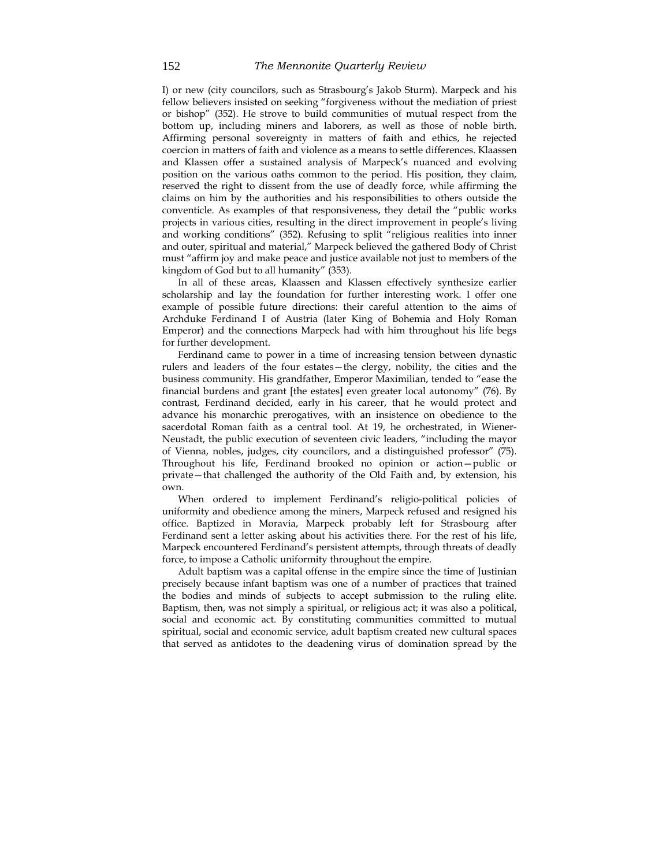I) or new (city councilors, such as Strasbourg's Jakob Sturm). Marpeck and his fellow believers insisted on seeking "forgiveness without the mediation of priest or bishop" (352). He strove to build communities of mutual respect from the bottom up, including miners and laborers, as well as those of noble birth. Affirming personal sovereignty in matters of faith and ethics, he rejected coercion in matters of faith and violence as a means to settle differences. Klaassen and Klassen offer a sustained analysis of Marpeck's nuanced and evolving position on the various oaths common to the period. His position, they claim, reserved the right to dissent from the use of deadly force, while affirming the claims on him by the authorities and his responsibilities to others outside the conventicle. As examples of that responsiveness, they detail the "public works projects in various cities, resulting in the direct improvement in people's living and working conditions" (352). Refusing to split "religious realities into inner and outer, spiritual and material," Marpeck believed the gathered Body of Christ must "affirm joy and make peace and justice available not just to members of the kingdom of God but to all humanity" (353).

 In all of these areas, Klaassen and Klassen effectively synthesize earlier scholarship and lay the foundation for further interesting work. I offer one example of possible future directions: their careful attention to the aims of Archduke Ferdinand I of Austria (later King of Bohemia and Holy Roman Emperor) and the connections Marpeck had with him throughout his life begs for further development.

 Ferdinand came to power in a time of increasing tension between dynastic rulers and leaders of the four estates—the clergy, nobility, the cities and the business community. His grandfather, Emperor Maximilian, tended to "ease the financial burdens and grant [the estates] even greater local autonomy" (76). By contrast, Ferdinand decided, early in his career, that he would protect and advance his monarchic prerogatives, with an insistence on obedience to the sacerdotal Roman faith as a central tool. At 19, he orchestrated, in Wiener-Neustadt, the public execution of seventeen civic leaders, "including the mayor of Vienna, nobles, judges, city councilors, and a distinguished professor" (75). Throughout his life, Ferdinand brooked no opinion or action—public or private—that challenged the authority of the Old Faith and, by extension, his own.

 When ordered to implement Ferdinand's religio-political policies of uniformity and obedience among the miners, Marpeck refused and resigned his office. Baptized in Moravia, Marpeck probably left for Strasbourg after Ferdinand sent a letter asking about his activities there. For the rest of his life, Marpeck encountered Ferdinand's persistent attempts, through threats of deadly force, to impose a Catholic uniformity throughout the empire.

 Adult baptism was a capital offense in the empire since the time of Justinian precisely because infant baptism was one of a number of practices that trained the bodies and minds of subjects to accept submission to the ruling elite. Baptism, then, was not simply a spiritual, or religious act; it was also a political, social and economic act. By constituting communities committed to mutual spiritual, social and economic service, adult baptism created new cultural spaces that served as antidotes to the deadening virus of domination spread by the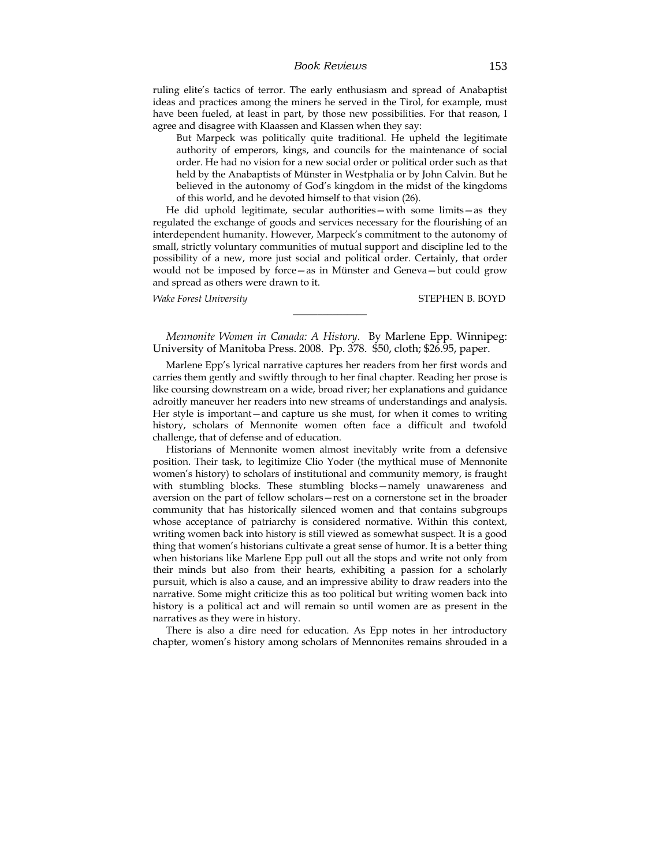#### *Book Reviews* 153

ruling elite's tactics of terror. The early enthusiasm and spread of Anabaptist ideas and practices among the miners he served in the Tirol, for example, must have been fueled, at least in part, by those new possibilities. For that reason, I agree and disagree with Klaassen and Klassen when they say:

But Marpeck was politically quite traditional. He upheld the legitimate authority of emperors, kings, and councils for the maintenance of social order. He had no vision for a new social order or political order such as that held by the Anabaptists of Münster in Westphalia or by John Calvin. But he believed in the autonomy of God's kingdom in the midst of the kingdoms of this world, and he devoted himself to that vision (26).

He did uphold legitimate, secular authorities—with some limits—as they regulated the exchange of goods and services necessary for the flourishing of an interdependent humanity. However, Marpeck's commitment to the autonomy of small, strictly voluntary communities of mutual support and discipline led to the possibility of a new, more just social and political order. Certainly, that order would not be imposed by force—as in Münster and Geneva—but could grow and spread as others were drawn to it.

*Wake Forest University* STEPHEN B. BOYD

*Mennonite Women in Canada: A History*. By Marlene Epp. Winnipeg: University of Manitoba Press. 2008. Pp. 378. \$50, cloth; \$26.95, paper.

\_\_\_\_\_\_\_\_\_\_\_\_\_\_\_

Marlene Epp's lyrical narrative captures her readers from her first words and carries them gently and swiftly through to her final chapter. Reading her prose is like coursing downstream on a wide, broad river; her explanations and guidance adroitly maneuver her readers into new streams of understandings and analysis. Her style is important—and capture us she must, for when it comes to writing history, scholars of Mennonite women often face a difficult and twofold challenge, that of defense and of education.

Historians of Mennonite women almost inevitably write from a defensive position. Their task, to legitimize Clio Yoder (the mythical muse of Mennonite women's history) to scholars of institutional and community memory, is fraught with stumbling blocks. These stumbling blocks—namely unawareness and aversion on the part of fellow scholars—rest on a cornerstone set in the broader community that has historically silenced women and that contains subgroups whose acceptance of patriarchy is considered normative. Within this context, writing women back into history is still viewed as somewhat suspect. It is a good thing that women's historians cultivate a great sense of humor. It is a better thing when historians like Marlene Epp pull out all the stops and write not only from their minds but also from their hearts, exhibiting a passion for a scholarly pursuit, which is also a cause, and an impressive ability to draw readers into the narrative. Some might criticize this as too political but writing women back into history is a political act and will remain so until women are as present in the narratives as they were in history.

There is also a dire need for education. As Epp notes in her introductory chapter, women's history among scholars of Mennonites remains shrouded in a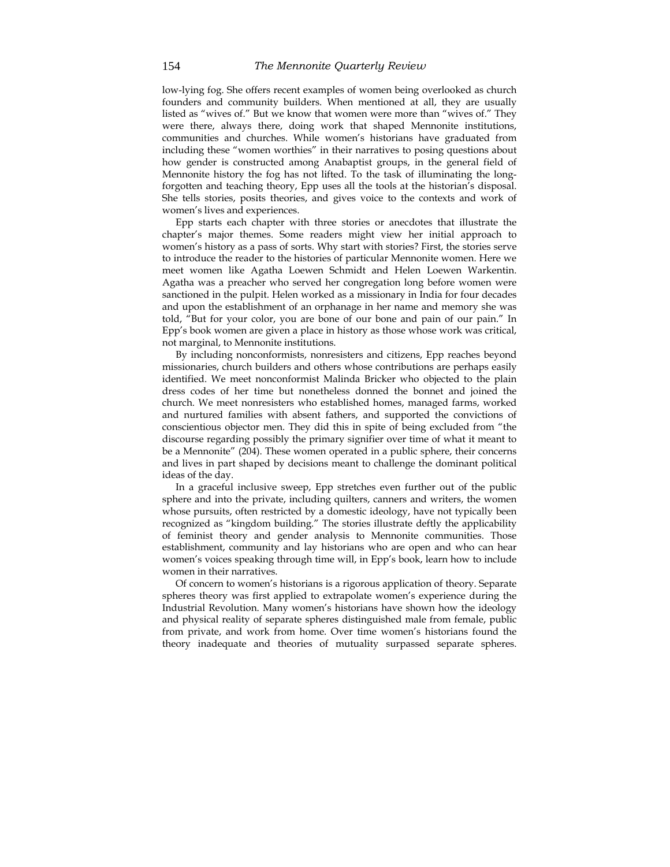low-lying fog. She offers recent examples of women being overlooked as church founders and community builders. When mentioned at all, they are usually listed as "wives of." But we know that women were more than "wives of." They were there, always there, doing work that shaped Mennonite institutions, communities and churches. While women's historians have graduated from including these "women worthies" in their narratives to posing questions about how gender is constructed among Anabaptist groups, in the general field of Mennonite history the fog has not lifted. To the task of illuminating the longforgotten and teaching theory, Epp uses all the tools at the historian's disposal. She tells stories, posits theories, and gives voice to the contexts and work of women's lives and experiences.

Epp starts each chapter with three stories or anecdotes that illustrate the chapter's major themes. Some readers might view her initial approach to women's history as a pass of sorts. Why start with stories? First, the stories serve to introduce the reader to the histories of particular Mennonite women. Here we meet women like Agatha Loewen Schmidt and Helen Loewen Warkentin. Agatha was a preacher who served her congregation long before women were sanctioned in the pulpit. Helen worked as a missionary in India for four decades and upon the establishment of an orphanage in her name and memory she was told, "But for your color, you are bone of our bone and pain of our pain." In Epp's book women are given a place in history as those whose work was critical, not marginal, to Mennonite institutions.

By including nonconformists, nonresisters and citizens, Epp reaches beyond missionaries, church builders and others whose contributions are perhaps easily identified. We meet nonconformist Malinda Bricker who objected to the plain dress codes of her time but nonetheless donned the bonnet and joined the church. We meet nonresisters who established homes, managed farms, worked and nurtured families with absent fathers, and supported the convictions of conscientious objector men. They did this in spite of being excluded from "the discourse regarding possibly the primary signifier over time of what it meant to be a Mennonite" (204). These women operated in a public sphere, their concerns and lives in part shaped by decisions meant to challenge the dominant political ideas of the day.

In a graceful inclusive sweep, Epp stretches even further out of the public sphere and into the private, including quilters, canners and writers, the women whose pursuits, often restricted by a domestic ideology, have not typically been recognized as "kingdom building." The stories illustrate deftly the applicability of feminist theory and gender analysis to Mennonite communities. Those establishment, community and lay historians who are open and who can hear women's voices speaking through time will, in Epp's book, learn how to include women in their narratives.

Of concern to women's historians is a rigorous application of theory. Separate spheres theory was first applied to extrapolate women's experience during the Industrial Revolution. Many women's historians have shown how the ideology and physical reality of separate spheres distinguished male from female, public from private, and work from home. Over time women's historians found the theory inadequate and theories of mutuality surpassed separate spheres.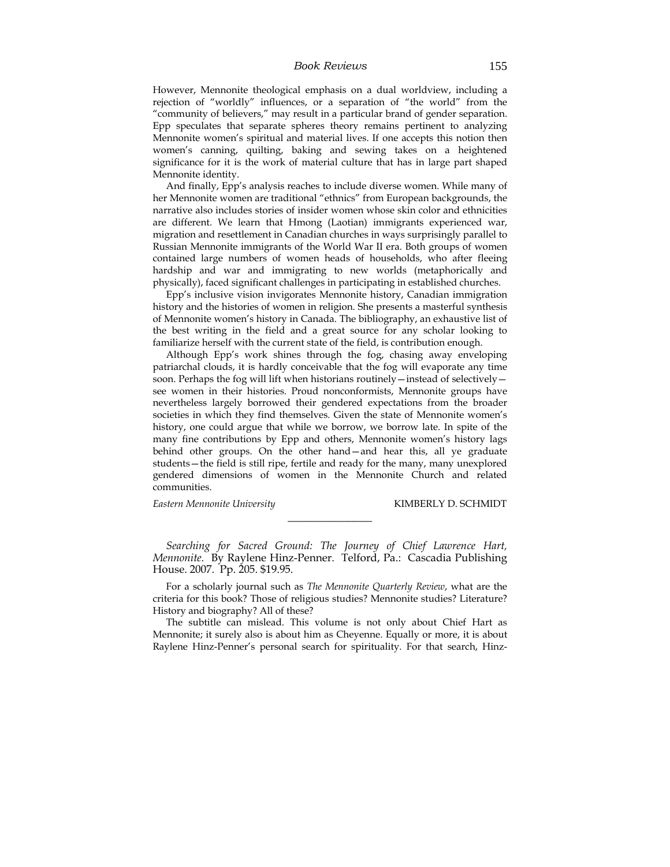However, Mennonite theological emphasis on a dual worldview, including a rejection of "worldly" influences, or a separation of "the world" from the "community of believers," may result in a particular brand of gender separation. Epp speculates that separate spheres theory remains pertinent to analyzing Mennonite women's spiritual and material lives. If one accepts this notion then women's canning, quilting, baking and sewing takes on a heightened significance for it is the work of material culture that has in large part shaped Mennonite identity.

And finally, Epp's analysis reaches to include diverse women. While many of her Mennonite women are traditional "ethnics" from European backgrounds, the narrative also includes stories of insider women whose skin color and ethnicities are different. We learn that Hmong (Laotian) immigrants experienced war, migration and resettlement in Canadian churches in ways surprisingly parallel to Russian Mennonite immigrants of the World War II era. Both groups of women contained large numbers of women heads of households, who after fleeing hardship and war and immigrating to new worlds (metaphorically and physically), faced significant challenges in participating in established churches.

Epp's inclusive vision invigorates Mennonite history, Canadian immigration history and the histories of women in religion. She presents a masterful synthesis of Mennonite women's history in Canada. The bibliography, an exhaustive list of the best writing in the field and a great source for any scholar looking to familiarize herself with the current state of the field, is contribution enough.

Although Epp's work shines through the fog, chasing away enveloping patriarchal clouds, it is hardly conceivable that the fog will evaporate any time soon. Perhaps the fog will lift when historians routinely - instead of selectively see women in their histories. Proud nonconformists, Mennonite groups have nevertheless largely borrowed their gendered expectations from the broader societies in which they find themselves. Given the state of Mennonite women's history, one could argue that while we borrow, we borrow late. In spite of the many fine contributions by Epp and others, Mennonite women's history lags behind other groups. On the other hand—and hear this, all ye graduate students—the field is still ripe, fertile and ready for the many, many unexplored gendered dimensions of women in the Mennonite Church and related communities.

**Eastern Mennonite University** KIMBERLY D. SCHMIDT

*Searching for Sacred Ground: The Journey of Chief Lawrence Hart, Mennonite.* By Raylene Hinz-Penner. Telford, Pa.: Cascadia Publishing House. 2007. Pp. 205. \$19.95.

\_\_\_\_\_\_\_\_\_\_\_\_\_\_

For a scholarly journal such as *The Mennonite Quarterly Review*, what are the criteria for this book? Those of religious studies? Mennonite studies? Literature? History and biography? All of these?

The subtitle can mislead. This volume is not only about Chief Hart as Mennonite; it surely also is about him as Cheyenne. Equally or more, it is about Raylene Hinz-Penner's personal search for spirituality. For that search, Hinz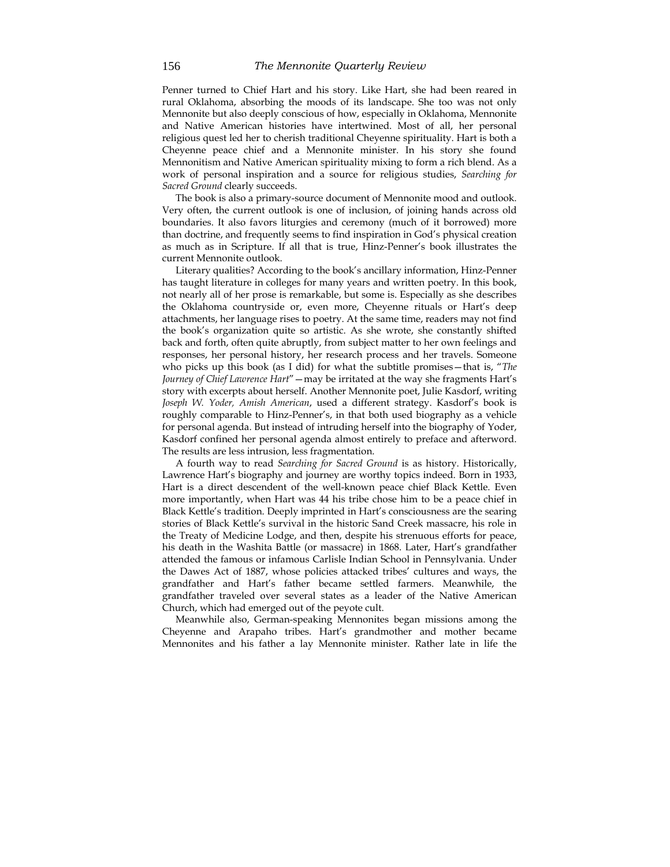Penner turned to Chief Hart and his story. Like Hart, she had been reared in rural Oklahoma, absorbing the moods of its landscape. She too was not only Mennonite but also deeply conscious of how, especially in Oklahoma, Mennonite and Native American histories have intertwined. Most of all, her personal religious quest led her to cherish traditional Cheyenne spirituality. Hart is both a Cheyenne peace chief and a Mennonite minister. In his story she found Mennonitism and Native American spirituality mixing to form a rich blend. As a work of personal inspiration and a source for religious studies, *Searching for Sacred Ground* clearly succeeds.

The book is also a primary-source document of Mennonite mood and outlook. Very often, the current outlook is one of inclusion, of joining hands across old boundaries. It also favors liturgies and ceremony (much of it borrowed) more than doctrine, and frequently seems to find inspiration in God's physical creation as much as in Scripture. If all that is true, Hinz-Penner's book illustrates the current Mennonite outlook.

Literary qualities? According to the book's ancillary information, Hinz-Penner has taught literature in colleges for many years and written poetry. In this book, not nearly all of her prose is remarkable, but some is. Especially as she describes the Oklahoma countryside or, even more, Cheyenne rituals or Hart's deep attachments, her language rises to poetry. At the same time, readers may not find the book's organization quite so artistic. As she wrote, she constantly shifted back and forth, often quite abruptly, from subject matter to her own feelings and responses, her personal history, her research process and her travels. Someone who picks up this book (as I did) for what the subtitle promises—that is, "*The Journey of Chief Lawrence Hart*"—may be irritated at the way she fragments Hart's story with excerpts about herself. Another Mennonite poet, Julie Kasdorf, writing *Joseph W. Yoder, Amish American*, used a different strategy. Kasdorf's book is roughly comparable to Hinz-Penner's, in that both used biography as a vehicle for personal agenda. But instead of intruding herself into the biography of Yoder, Kasdorf confined her personal agenda almost entirely to preface and afterword. The results are less intrusion, less fragmentation.

A fourth way to read *Searching for Sacred Ground* is as history. Historically, Lawrence Hart's biography and journey are worthy topics indeed. Born in 1933, Hart is a direct descendent of the well-known peace chief Black Kettle. Even more importantly, when Hart was 44 his tribe chose him to be a peace chief in Black Kettle's tradition. Deeply imprinted in Hart's consciousness are the searing stories of Black Kettle's survival in the historic Sand Creek massacre, his role in the Treaty of Medicine Lodge, and then, despite his strenuous efforts for peace, his death in the Washita Battle (or massacre) in 1868. Later, Hart's grandfather attended the famous or infamous Carlisle Indian School in Pennsylvania. Under the Dawes Act of 1887, whose policies attacked tribes' cultures and ways, the grandfather and Hart's father became settled farmers. Meanwhile, the grandfather traveled over several states as a leader of the Native American Church, which had emerged out of the peyote cult.

Meanwhile also, German-speaking Mennonites began missions among the Cheyenne and Arapaho tribes. Hart's grandmother and mother became Mennonites and his father a lay Mennonite minister. Rather late in life the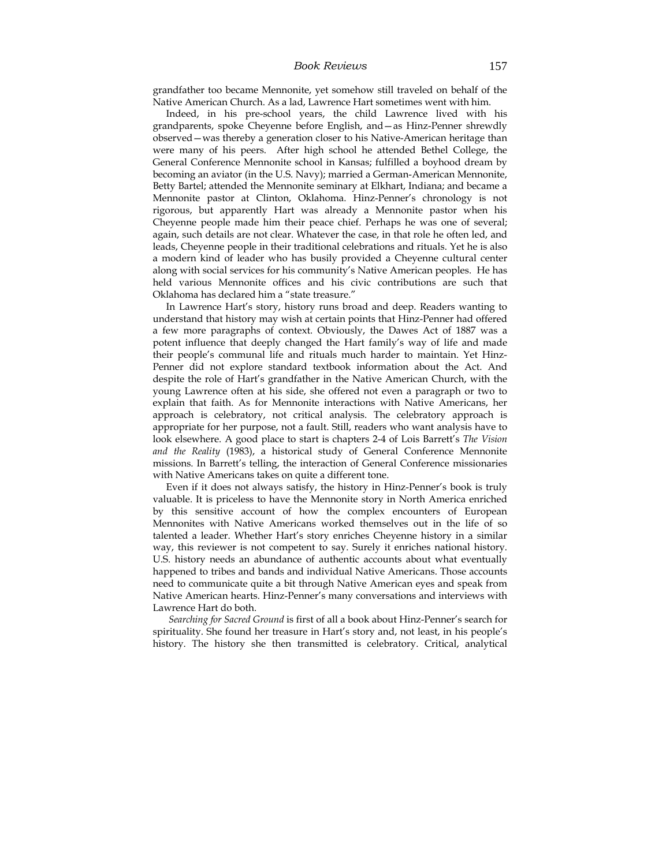#### *Book Reviews* 157

grandfather too became Mennonite, yet somehow still traveled on behalf of the Native American Church. As a lad, Lawrence Hart sometimes went with him.

Indeed, in his pre-school years, the child Lawrence lived with his grandparents, spoke Cheyenne before English, and—as Hinz-Penner shrewdly observed—was thereby a generation closer to his Native-American heritage than were many of his peers. After high school he attended Bethel College, the General Conference Mennonite school in Kansas; fulfilled a boyhood dream by becoming an aviator (in the U.S. Navy); married a German-American Mennonite, Betty Bartel; attended the Mennonite seminary at Elkhart, Indiana; and became a Mennonite pastor at Clinton, Oklahoma. Hinz-Penner's chronology is not rigorous, but apparently Hart was already a Mennonite pastor when his Cheyenne people made him their peace chief. Perhaps he was one of several; again, such details are not clear. Whatever the case, in that role he often led, and leads, Cheyenne people in their traditional celebrations and rituals. Yet he is also a modern kind of leader who has busily provided a Cheyenne cultural center along with social services for his community's Native American peoples. He has held various Mennonite offices and his civic contributions are such that Oklahoma has declared him a "state treasure."

In Lawrence Hart's story, history runs broad and deep. Readers wanting to understand that history may wish at certain points that Hinz-Penner had offered a few more paragraphs of context. Obviously, the Dawes Act of 1887 was a potent influence that deeply changed the Hart family's way of life and made their people's communal life and rituals much harder to maintain. Yet Hinz-Penner did not explore standard textbook information about the Act. And despite the role of Hart's grandfather in the Native American Church, with the young Lawrence often at his side, she offered not even a paragraph or two to explain that faith. As for Mennonite interactions with Native Americans, her approach is celebratory, not critical analysis. The celebratory approach is appropriate for her purpose, not a fault. Still, readers who want analysis have to look elsewhere. A good place to start is chapters 2-4 of Lois Barrett's *The Vision and the Reality* (1983), a historical study of General Conference Mennonite missions. In Barrett's telling, the interaction of General Conference missionaries with Native Americans takes on quite a different tone.

Even if it does not always satisfy, the history in Hinz-Penner's book is truly valuable. It is priceless to have the Mennonite story in North America enriched by this sensitive account of how the complex encounters of European Mennonites with Native Americans worked themselves out in the life of so talented a leader. Whether Hart's story enriches Cheyenne history in a similar way, this reviewer is not competent to say. Surely it enriches national history. U.S. history needs an abundance of authentic accounts about what eventually happened to tribes and bands and individual Native Americans. Those accounts need to communicate quite a bit through Native American eyes and speak from Native American hearts. Hinz-Penner's many conversations and interviews with Lawrence Hart do both.

*Searching for Sacred Ground* is first of all a book about Hinz-Penner's search for spirituality. She found her treasure in Hart's story and, not least, in his people's history. The history she then transmitted is celebratory. Critical, analytical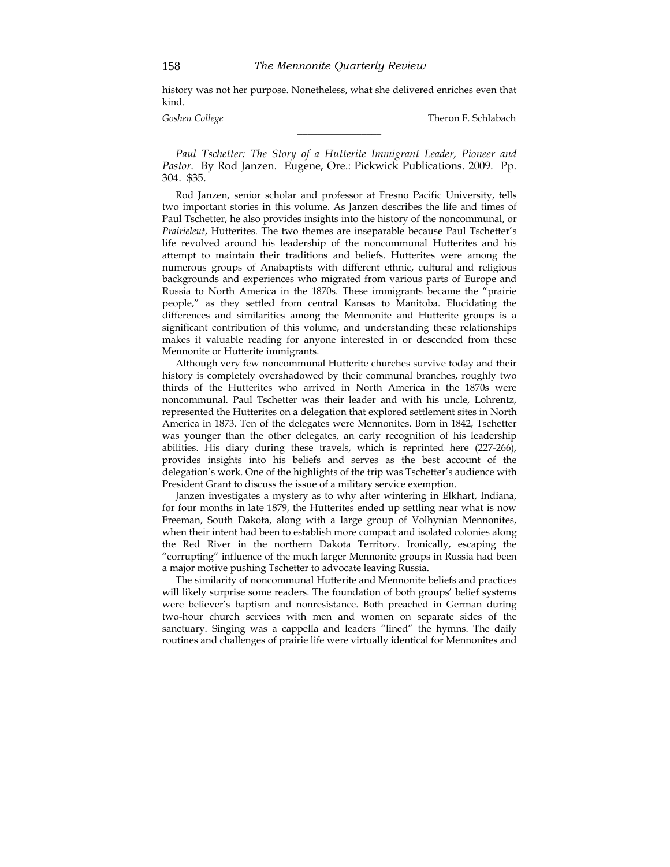history was not her purpose. Nonetheless, what she delivered enriches even that kind.

\_\_\_\_\_\_\_\_\_\_\_\_\_\_\_\_\_

*Goshen College* Theron F. Schlabach

*Paul Tschetter: The Story of a Hutterite Immigrant Leader, Pioneer and Pastor*. By Rod Janzen. Eugene, Ore.: Pickwick Publications. 2009. Pp. 304. \$35.

Rod Janzen, senior scholar and professor at Fresno Pacific University, tells two important stories in this volume. As Janzen describes the life and times of Paul Tschetter, he also provides insights into the history of the noncommunal, or *Prairieleut*, Hutterites. The two themes are inseparable because Paul Tschetter's life revolved around his leadership of the noncommunal Hutterites and his attempt to maintain their traditions and beliefs. Hutterites were among the numerous groups of Anabaptists with different ethnic, cultural and religious backgrounds and experiences who migrated from various parts of Europe and Russia to North America in the 1870s. These immigrants became the "prairie people," as they settled from central Kansas to Manitoba. Elucidating the differences and similarities among the Mennonite and Hutterite groups is a significant contribution of this volume, and understanding these relationships makes it valuable reading for anyone interested in or descended from these Mennonite or Hutterite immigrants.

Although very few noncommunal Hutterite churches survive today and their history is completely overshadowed by their communal branches, roughly two thirds of the Hutterites who arrived in North America in the 1870s were noncommunal. Paul Tschetter was their leader and with his uncle, Lohrentz, represented the Hutterites on a delegation that explored settlement sites in North America in 1873. Ten of the delegates were Mennonites. Born in 1842, Tschetter was younger than the other delegates, an early recognition of his leadership abilities. His diary during these travels, which is reprinted here (227-266), provides insights into his beliefs and serves as the best account of the delegation's work. One of the highlights of the trip was Tschetter's audience with President Grant to discuss the issue of a military service exemption.

Janzen investigates a mystery as to why after wintering in Elkhart, Indiana, for four months in late 1879, the Hutterites ended up settling near what is now Freeman, South Dakota, along with a large group of Volhynian Mennonites, when their intent had been to establish more compact and isolated colonies along the Red River in the northern Dakota Territory. Ironically, escaping the "corrupting" influence of the much larger Mennonite groups in Russia had been a major motive pushing Tschetter to advocate leaving Russia.

The similarity of noncommunal Hutterite and Mennonite beliefs and practices will likely surprise some readers. The foundation of both groups' belief systems were believer's baptism and nonresistance. Both preached in German during two-hour church services with men and women on separate sides of the sanctuary. Singing was a cappella and leaders "lined" the hymns. The daily routines and challenges of prairie life were virtually identical for Mennonites and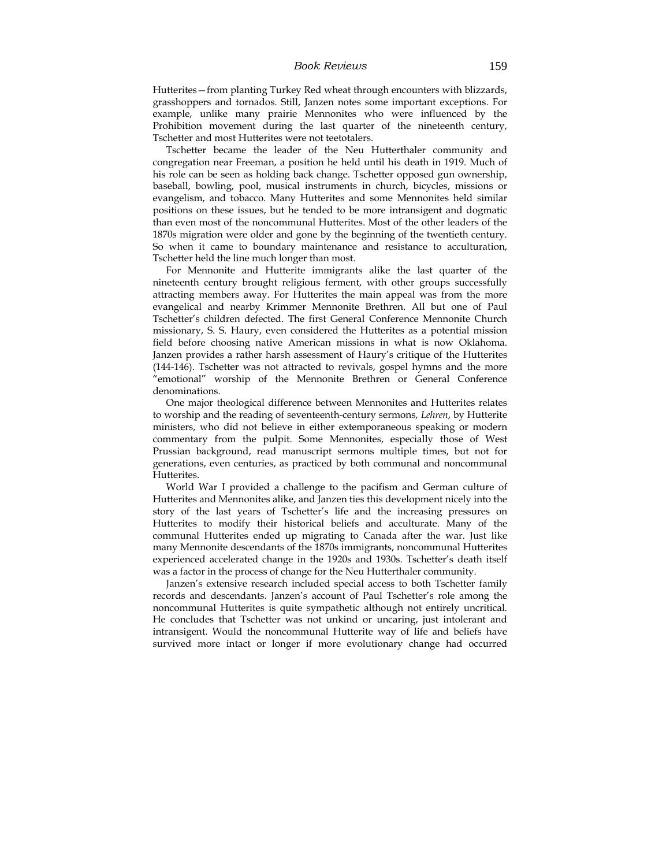Hutterites—from planting Turkey Red wheat through encounters with blizzards, grasshoppers and tornados. Still, Janzen notes some important exceptions. For example, unlike many prairie Mennonites who were influenced by the Prohibition movement during the last quarter of the nineteenth century, Tschetter and most Hutterites were not teetotalers.

Tschetter became the leader of the Neu Hutterthaler community and congregation near Freeman, a position he held until his death in 1919. Much of his role can be seen as holding back change. Tschetter opposed gun ownership, baseball, bowling, pool, musical instruments in church, bicycles, missions or evangelism, and tobacco. Many Hutterites and some Mennonites held similar positions on these issues, but he tended to be more intransigent and dogmatic than even most of the noncommunal Hutterites. Most of the other leaders of the 1870s migration were older and gone by the beginning of the twentieth century. So when it came to boundary maintenance and resistance to acculturation, Tschetter held the line much longer than most.

For Mennonite and Hutterite immigrants alike the last quarter of the nineteenth century brought religious ferment, with other groups successfully attracting members away. For Hutterites the main appeal was from the more evangelical and nearby Krimmer Mennonite Brethren. All but one of Paul Tschetter's children defected. The first General Conference Mennonite Church missionary, S. S. Haury, even considered the Hutterites as a potential mission field before choosing native American missions in what is now Oklahoma. Janzen provides a rather harsh assessment of Haury's critique of the Hutterites (144-146). Tschetter was not attracted to revivals, gospel hymns and the more "emotional" worship of the Mennonite Brethren or General Conference denominations.

One major theological difference between Mennonites and Hutterites relates to worship and the reading of seventeenth-century sermons, *Lehren*, by Hutterite ministers, who did not believe in either extemporaneous speaking or modern commentary from the pulpit. Some Mennonites, especially those of West Prussian background, read manuscript sermons multiple times, but not for generations, even centuries, as practiced by both communal and noncommunal Hutterites.

World War I provided a challenge to the pacifism and German culture of Hutterites and Mennonites alike, and Janzen ties this development nicely into the story of the last years of Tschetter's life and the increasing pressures on Hutterites to modify their historical beliefs and acculturate. Many of the communal Hutterites ended up migrating to Canada after the war. Just like many Mennonite descendants of the 1870s immigrants, noncommunal Hutterites experienced accelerated change in the 1920s and 1930s. Tschetter's death itself was a factor in the process of change for the Neu Hutterthaler community.

Janzen's extensive research included special access to both Tschetter family records and descendants. Janzen's account of Paul Tschetter's role among the noncommunal Hutterites is quite sympathetic although not entirely uncritical. He concludes that Tschetter was not unkind or uncaring, just intolerant and intransigent. Would the noncommunal Hutterite way of life and beliefs have survived more intact or longer if more evolutionary change had occurred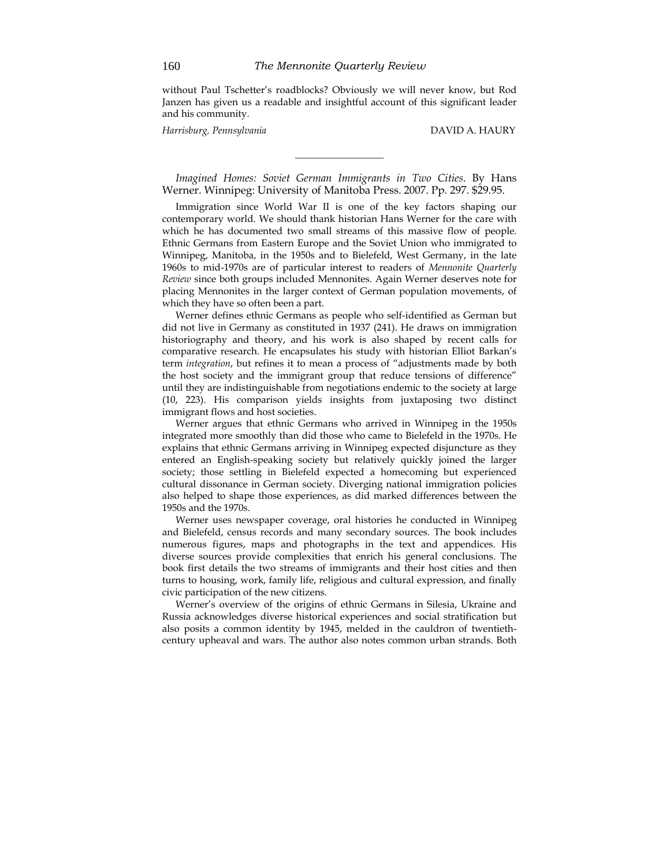without Paul Tschetter's roadblocks? Obviously we will never know, but Rod Janzen has given us a readable and insightful account of this significant leader and his community.

*Harrisburg, Pennsylvania* DAVID A. HAURY

*Imagined Homes: Soviet German Immigrants in Two Cities*. By Hans Werner. Winnipeg: University of Manitoba Press. 2007. Pp. 297. \$29.95.

\_\_\_\_\_\_\_\_\_\_\_\_\_\_\_\_\_\_

Immigration since World War II is one of the key factors shaping our contemporary world. We should thank historian Hans Werner for the care with which he has documented two small streams of this massive flow of people. Ethnic Germans from Eastern Europe and the Soviet Union who immigrated to Winnipeg, Manitoba, in the 1950s and to Bielefeld, West Germany, in the late 1960s to mid-1970s are of particular interest to readers of *Mennonite Quarterly Review* since both groups included Mennonites. Again Werner deserves note for placing Mennonites in the larger context of German population movements, of which they have so often been a part.

Werner defines ethnic Germans as people who self-identified as German but did not live in Germany as constituted in 1937 (241). He draws on immigration historiography and theory, and his work is also shaped by recent calls for comparative research. He encapsulates his study with historian Elliot Barkan's term *integration*, but refines it to mean a process of "adjustments made by both the host society and the immigrant group that reduce tensions of difference" until they are indistinguishable from negotiations endemic to the society at large (10, 223). His comparison yields insights from juxtaposing two distinct immigrant flows and host societies.

Werner argues that ethnic Germans who arrived in Winnipeg in the 1950s integrated more smoothly than did those who came to Bielefeld in the 1970s. He explains that ethnic Germans arriving in Winnipeg expected disjuncture as they entered an English-speaking society but relatively quickly joined the larger society; those settling in Bielefeld expected a homecoming but experienced cultural dissonance in German society. Diverging national immigration policies also helped to shape those experiences, as did marked differences between the 1950s and the 1970s.

Werner uses newspaper coverage, oral histories he conducted in Winnipeg and Bielefeld, census records and many secondary sources. The book includes numerous figures, maps and photographs in the text and appendices. His diverse sources provide complexities that enrich his general conclusions. The book first details the two streams of immigrants and their host cities and then turns to housing, work, family life, religious and cultural expression, and finally civic participation of the new citizens.

Werner's overview of the origins of ethnic Germans in Silesia, Ukraine and Russia acknowledges diverse historical experiences and social stratification but also posits a common identity by 1945, melded in the cauldron of twentiethcentury upheaval and wars. The author also notes common urban strands. Both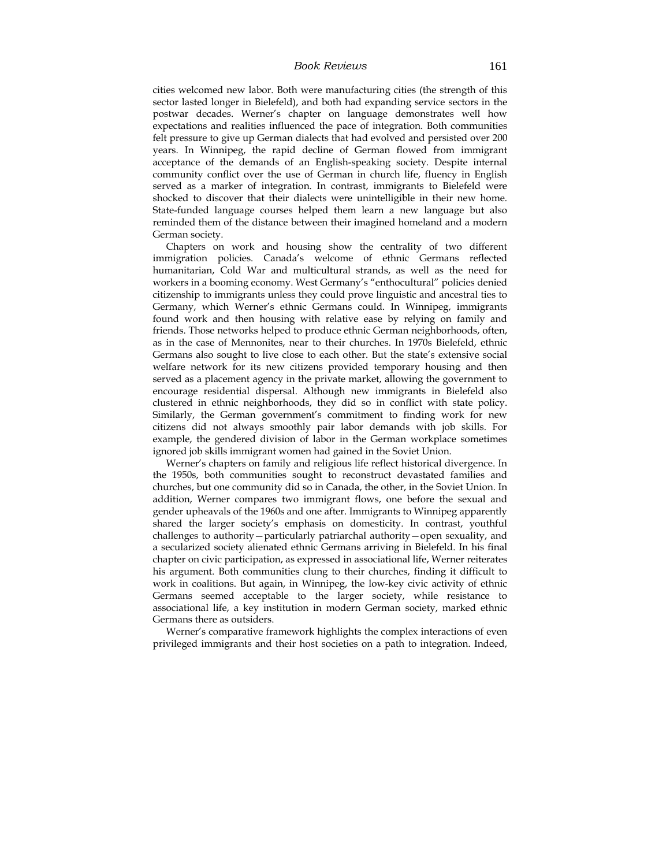cities welcomed new labor. Both were manufacturing cities (the strength of this sector lasted longer in Bielefeld), and both had expanding service sectors in the postwar decades. Werner's chapter on language demonstrates well how expectations and realities influenced the pace of integration. Both communities felt pressure to give up German dialects that had evolved and persisted over 200 years. In Winnipeg, the rapid decline of German flowed from immigrant acceptance of the demands of an English-speaking society. Despite internal community conflict over the use of German in church life, fluency in English served as a marker of integration. In contrast, immigrants to Bielefeld were shocked to discover that their dialects were unintelligible in their new home. State-funded language courses helped them learn a new language but also reminded them of the distance between their imagined homeland and a modern German society.

Chapters on work and housing show the centrality of two different immigration policies. Canada's welcome of ethnic Germans reflected humanitarian, Cold War and multicultural strands, as well as the need for workers in a booming economy. West Germany's "enthocultural" policies denied citizenship to immigrants unless they could prove linguistic and ancestral ties to Germany, which Werner's ethnic Germans could. In Winnipeg, immigrants found work and then housing with relative ease by relying on family and friends. Those networks helped to produce ethnic German neighborhoods, often, as in the case of Mennonites, near to their churches. In 1970s Bielefeld, ethnic Germans also sought to live close to each other. But the state's extensive social welfare network for its new citizens provided temporary housing and then served as a placement agency in the private market, allowing the government to encourage residential dispersal. Although new immigrants in Bielefeld also clustered in ethnic neighborhoods, they did so in conflict with state policy. Similarly, the German government's commitment to finding work for new citizens did not always smoothly pair labor demands with job skills. For example, the gendered division of labor in the German workplace sometimes ignored job skills immigrant women had gained in the Soviet Union.

Werner's chapters on family and religious life reflect historical divergence. In the 1950s, both communities sought to reconstruct devastated families and churches, but one community did so in Canada, the other, in the Soviet Union. In addition, Werner compares two immigrant flows, one before the sexual and gender upheavals of the 1960s and one after. Immigrants to Winnipeg apparently shared the larger society's emphasis on domesticity. In contrast, youthful challenges to authority—particularly patriarchal authority—open sexuality, and a secularized society alienated ethnic Germans arriving in Bielefeld. In his final chapter on civic participation, as expressed in associational life, Werner reiterates his argument. Both communities clung to their churches, finding it difficult to work in coalitions. But again, in Winnipeg, the low-key civic activity of ethnic Germans seemed acceptable to the larger society, while resistance to associational life, a key institution in modern German society, marked ethnic Germans there as outsiders.

Werner's comparative framework highlights the complex interactions of even privileged immigrants and their host societies on a path to integration. Indeed,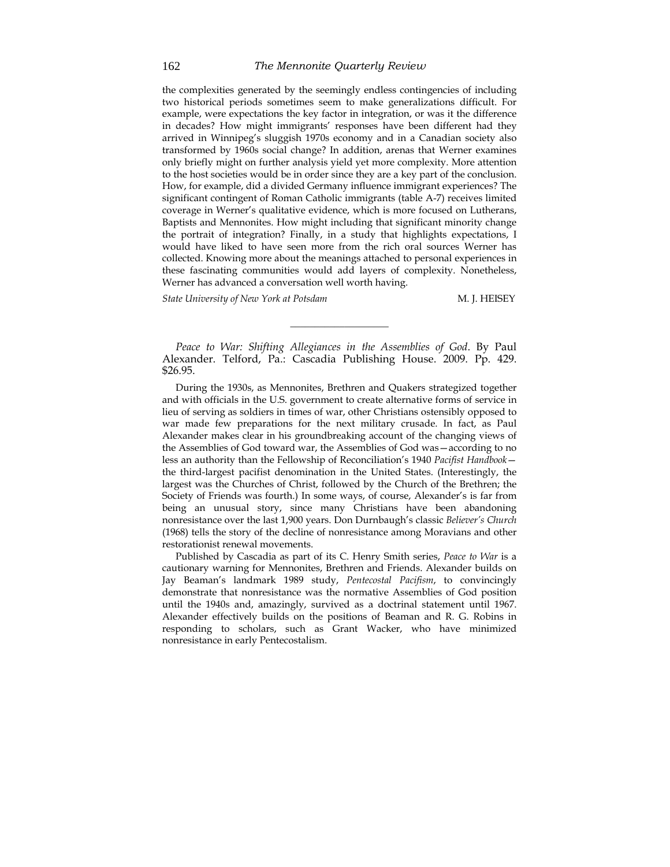the complexities generated by the seemingly endless contingencies of including two historical periods sometimes seem to make generalizations difficult. For example, were expectations the key factor in integration, or was it the difference in decades? How might immigrants' responses have been different had they arrived in Winnipeg's sluggish 1970s economy and in a Canadian society also transformed by 1960s social change? In addition, arenas that Werner examines only briefly might on further analysis yield yet more complexity. More attention to the host societies would be in order since they are a key part of the conclusion. How, for example, did a divided Germany influence immigrant experiences? The significant contingent of Roman Catholic immigrants (table A-7) receives limited coverage in Werner's qualitative evidence, which is more focused on Lutherans, Baptists and Mennonites. How might including that significant minority change the portrait of integration? Finally, in a study that highlights expectations, I would have liked to have seen more from the rich oral sources Werner has collected. Knowing more about the meanings attached to personal experiences in these fascinating communities would add layers of complexity. Nonetheless, Werner has advanced a conversation well worth having.

*State University of New York at Potsdam* M.J. HEISEY

*Peace to War: Shifting Allegiances in the Assemblies of God*. By Paul Alexander. Telford, Pa.: Cascadia Publishing House. 2009. Pp. 429. \$26.95.

\_\_\_\_\_\_\_\_\_\_\_\_\_\_\_\_\_\_\_\_

During the 1930s, as Mennonites, Brethren and Quakers strategized together and with officials in the U.S. government to create alternative forms of service in lieu of serving as soldiers in times of war, other Christians ostensibly opposed to war made few preparations for the next military crusade. In fact, as Paul Alexander makes clear in his groundbreaking account of the changing views of the Assemblies of God toward war, the Assemblies of God was—according to no less an authority than the Fellowship of Reconciliation's 1940 *Pacifist Handbook* the third-largest pacifist denomination in the United States. (Interestingly, the largest was the Churches of Christ, followed by the Church of the Brethren; the Society of Friends was fourth.) In some ways, of course, Alexander's is far from being an unusual story, since many Christians have been abandoning nonresistance over the last 1,900 years. Don Durnbaugh's classic *Believer's Church* (1968) tells the story of the decline of nonresistance among Moravians and other restorationist renewal movements.

Published by Cascadia as part of its C. Henry Smith series, *Peace to War* is a cautionary warning for Mennonites, Brethren and Friends. Alexander builds on Jay Beaman's landmark 1989 study, *Pentecostal Pacifism*, to convincingly demonstrate that nonresistance was the normative Assemblies of God position until the 1940s and, amazingly, survived as a doctrinal statement until 1967. Alexander effectively builds on the positions of Beaman and R. G. Robins in responding to scholars, such as Grant Wacker, who have minimized nonresistance in early Pentecostalism.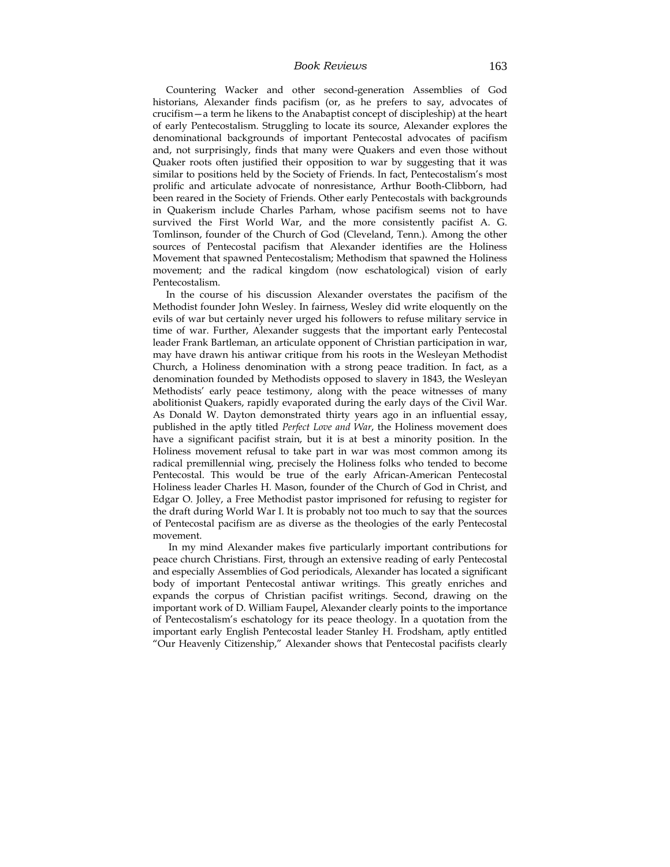#### *Book Reviews* 163

Countering Wacker and other second-generation Assemblies of God historians, Alexander finds pacifism (or, as he prefers to say, advocates of crucifism—a term he likens to the Anabaptist concept of discipleship) at the heart of early Pentecostalism. Struggling to locate its source, Alexander explores the denominational backgrounds of important Pentecostal advocates of pacifism and, not surprisingly, finds that many were Quakers and even those without Quaker roots often justified their opposition to war by suggesting that it was similar to positions held by the Society of Friends. In fact, Pentecostalism's most prolific and articulate advocate of nonresistance, Arthur Booth-Clibborn, had been reared in the Society of Friends. Other early Pentecostals with backgrounds in Quakerism include Charles Parham, whose pacifism seems not to have survived the First World War, and the more consistently pacifist A. G. Tomlinson, founder of the Church of God (Cleveland, Tenn.). Among the other sources of Pentecostal pacifism that Alexander identifies are the Holiness Movement that spawned Pentecostalism; Methodism that spawned the Holiness movement; and the radical kingdom (now eschatological) vision of early Pentecostalism.

In the course of his discussion Alexander overstates the pacifism of the Methodist founder John Wesley. In fairness, Wesley did write eloquently on the evils of war but certainly never urged his followers to refuse military service in time of war. Further, Alexander suggests that the important early Pentecostal leader Frank Bartleman, an articulate opponent of Christian participation in war, may have drawn his antiwar critique from his roots in the Wesleyan Methodist Church, a Holiness denomination with a strong peace tradition. In fact, as a denomination founded by Methodists opposed to slavery in 1843, the Wesleyan Methodists' early peace testimony, along with the peace witnesses of many abolitionist Quakers, rapidly evaporated during the early days of the Civil War. As Donald W. Dayton demonstrated thirty years ago in an influential essay, published in the aptly titled *Perfect Love and War*, the Holiness movement does have a significant pacifist strain, but it is at best a minority position. In the Holiness movement refusal to take part in war was most common among its radical premillennial wing, precisely the Holiness folks who tended to become Pentecostal. This would be true of the early African-American Pentecostal Holiness leader Charles H. Mason, founder of the Church of God in Christ, and Edgar O. Jolley, a Free Methodist pastor imprisoned for refusing to register for the draft during World War I. It is probably not too much to say that the sources of Pentecostal pacifism are as diverse as the theologies of the early Pentecostal movement.

 In my mind Alexander makes five particularly important contributions for peace church Christians. First, through an extensive reading of early Pentecostal and especially Assemblies of God periodicals, Alexander has located a significant body of important Pentecostal antiwar writings. This greatly enriches and expands the corpus of Christian pacifist writings. Second, drawing on the important work of D. William Faupel, Alexander clearly points to the importance of Pentecostalism's eschatology for its peace theology. In a quotation from the important early English Pentecostal leader Stanley H. Frodsham, aptly entitled "Our Heavenly Citizenship," Alexander shows that Pentecostal pacifists clearly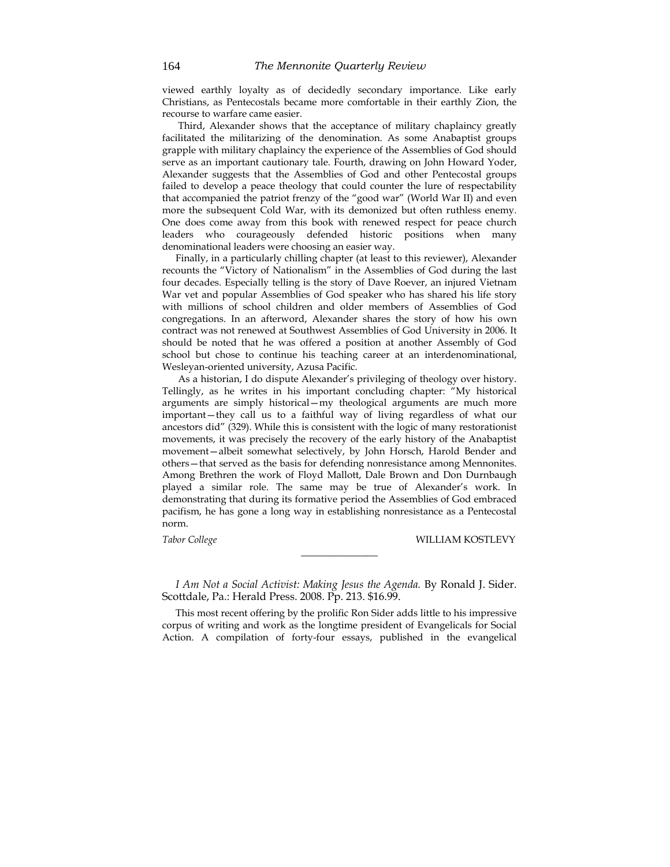viewed earthly loyalty as of decidedly secondary importance. Like early Christians, as Pentecostals became more comfortable in their earthly Zion, the recourse to warfare came easier.

 Third, Alexander shows that the acceptance of military chaplaincy greatly facilitated the militarizing of the denomination. As some Anabaptist groups grapple with military chaplaincy the experience of the Assemblies of God should serve as an important cautionary tale. Fourth, drawing on John Howard Yoder, Alexander suggests that the Assemblies of God and other Pentecostal groups failed to develop a peace theology that could counter the lure of respectability that accompanied the patriot frenzy of the "good war" (World War II) and even more the subsequent Cold War, with its demonized but often ruthless enemy. One does come away from this book with renewed respect for peace church leaders who courageously defended historic positions when many denominational leaders were choosing an easier way.

Finally, in a particularly chilling chapter (at least to this reviewer), Alexander recounts the "Victory of Nationalism" in the Assemblies of God during the last four decades. Especially telling is the story of Dave Roever, an injured Vietnam War vet and popular Assemblies of God speaker who has shared his life story with millions of school children and older members of Assemblies of God congregations. In an afterword, Alexander shares the story of how his own contract was not renewed at Southwest Assemblies of God University in 2006. It should be noted that he was offered a position at another Assembly of God school but chose to continue his teaching career at an interdenominational, Wesleyan-oriented university, Azusa Pacific.

 As a historian, I do dispute Alexander's privileging of theology over history. Tellingly, as he writes in his important concluding chapter: "My historical arguments are simply historical—my theological arguments are much more important—they call us to a faithful way of living regardless of what our ancestors did" (329). While this is consistent with the logic of many restorationist movements, it was precisely the recovery of the early history of the Anabaptist movement—albeit somewhat selectively, by John Horsch, Harold Bender and others—that served as the basis for defending nonresistance among Mennonites. Among Brethren the work of Floyd Mallott, Dale Brown and Don Durnbaugh played a similar role. The same may be true of Alexander's work. In demonstrating that during its formative period the Assemblies of God embraced pacifism, he has gone a long way in establishing nonresistance as a Pentecostal norm.

*Tabor College* WILLIAM KOSTLEVY

*I Am Not a Social Activist: Making Jesus the Agenda.* By Ronald J. Sider. Scottdale, Pa.: Herald Press. 2008. Pp. 213. \$16.99.

 $\mathcal{L}_\text{max}$  , where  $\mathcal{L}_\text{max}$ 

This most recent offering by the prolific Ron Sider adds little to his impressive corpus of writing and work as the longtime president of Evangelicals for Social Action. A compilation of forty-four essays, published in the evangelical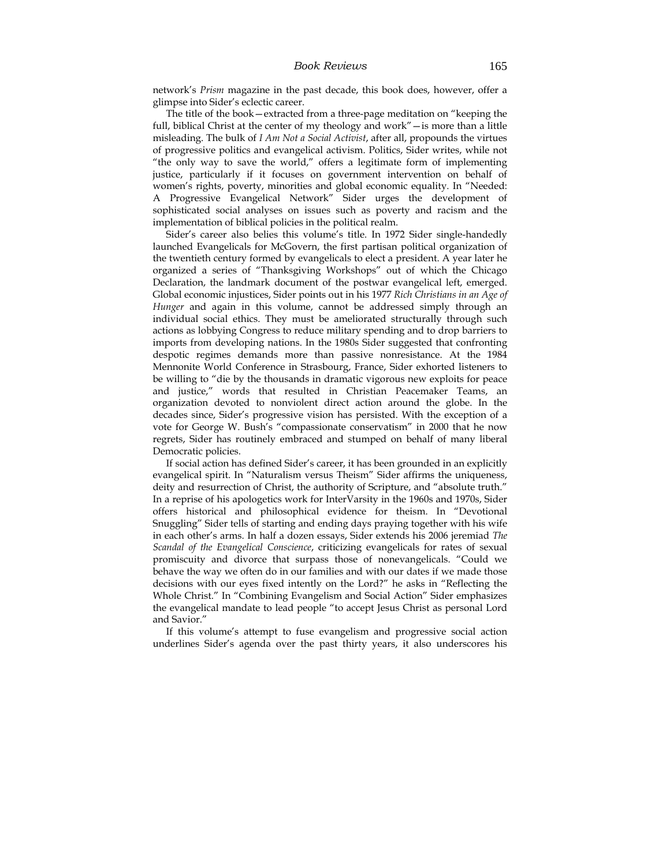network's *Prism* magazine in the past decade, this book does, however, offer a glimpse into Sider's eclectic career.

The title of the book—extracted from a three-page meditation on "keeping the full, biblical Christ at the center of my theology and work"—is more than a little misleading. The bulk of *I Am Not a Social Activist*, after all, propounds the virtues of progressive politics and evangelical activism. Politics, Sider writes, while not "the only way to save the world," offers a legitimate form of implementing justice, particularly if it focuses on government intervention on behalf of women's rights, poverty, minorities and global economic equality. In "Needed: A Progressive Evangelical Network" Sider urges the development of sophisticated social analyses on issues such as poverty and racism and the implementation of biblical policies in the political realm.

Sider's career also belies this volume's title. In 1972 Sider single-handedly launched Evangelicals for McGovern, the first partisan political organization of the twentieth century formed by evangelicals to elect a president. A year later he organized a series of "Thanksgiving Workshops" out of which the Chicago Declaration, the landmark document of the postwar evangelical left, emerged. Global economic injustices, Sider points out in his 1977 *Rich Christians in an Age of Hunger* and again in this volume, cannot be addressed simply through an individual social ethics. They must be ameliorated structurally through such actions as lobbying Congress to reduce military spending and to drop barriers to imports from developing nations. In the 1980s Sider suggested that confronting despotic regimes demands more than passive nonresistance. At the 1984 Mennonite World Conference in Strasbourg, France, Sider exhorted listeners to be willing to "die by the thousands in dramatic vigorous new exploits for peace and justice," words that resulted in Christian Peacemaker Teams, an organization devoted to nonviolent direct action around the globe. In the decades since, Sider's progressive vision has persisted. With the exception of a vote for George W. Bush's "compassionate conservatism" in 2000 that he now regrets, Sider has routinely embraced and stumped on behalf of many liberal Democratic policies.

If social action has defined Sider's career, it has been grounded in an explicitly evangelical spirit. In "Naturalism versus Theism" Sider affirms the uniqueness, deity and resurrection of Christ, the authority of Scripture, and "absolute truth." In a reprise of his apologetics work for InterVarsity in the 1960s and 1970s, Sider offers historical and philosophical evidence for theism. In "Devotional Snuggling" Sider tells of starting and ending days praying together with his wife in each other's arms. In half a dozen essays, Sider extends his 2006 jeremiad *The Scandal of the Evangelical Conscience*, criticizing evangelicals for rates of sexual promiscuity and divorce that surpass those of nonevangelicals. "Could we behave the way we often do in our families and with our dates if we made those decisions with our eyes fixed intently on the Lord?" he asks in "Reflecting the Whole Christ." In "Combining Evangelism and Social Action" Sider emphasizes the evangelical mandate to lead people "to accept Jesus Christ as personal Lord and Savior."

If this volume's attempt to fuse evangelism and progressive social action underlines Sider's agenda over the past thirty years, it also underscores his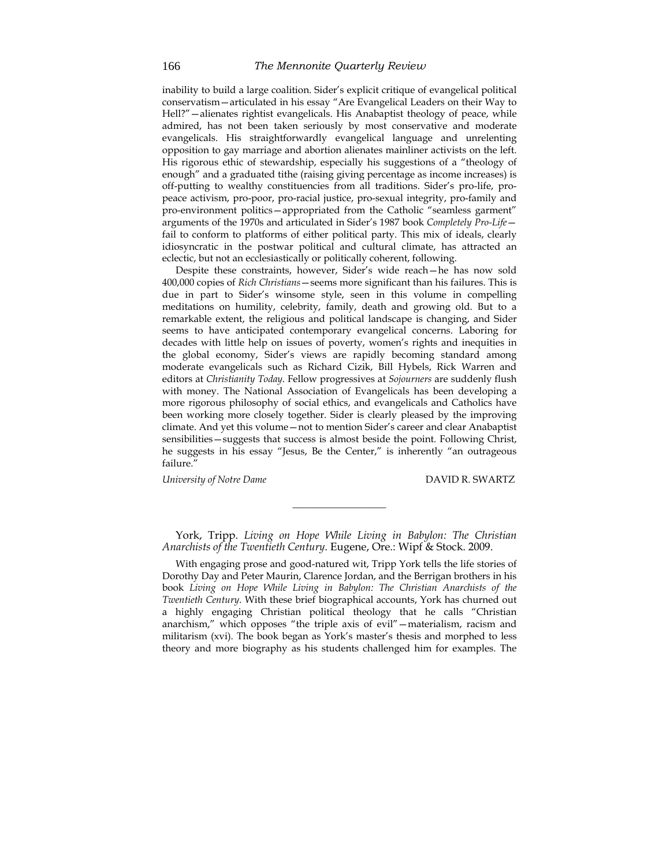inability to build a large coalition. Sider's explicit critique of evangelical political conservatism—articulated in his essay "Are Evangelical Leaders on their Way to Hell?"—alienates rightist evangelicals. His Anabaptist theology of peace, while admired, has not been taken seriously by most conservative and moderate evangelicals. His straightforwardly evangelical language and unrelenting opposition to gay marriage and abortion alienates mainliner activists on the left. His rigorous ethic of stewardship, especially his suggestions of a "theology of enough" and a graduated tithe (raising giving percentage as income increases) is off-putting to wealthy constituencies from all traditions. Sider's pro-life, propeace activism, pro-poor, pro-racial justice, pro-sexual integrity, pro-family and pro-environment politics—appropriated from the Catholic "seamless garment" arguments of the 1970s and articulated in Sider's 1987 book *Completely Pro-Life* fail to conform to platforms of either political party. This mix of ideals, clearly idiosyncratic in the postwar political and cultural climate, has attracted an eclectic, but not an ecclesiastically or politically coherent, following.

Despite these constraints, however, Sider's wide reach—he has now sold 400,000 copies of *Rich Christians*—seems more significant than his failures. This is due in part to Sider's winsome style, seen in this volume in compelling meditations on humility, celebrity, family, death and growing old. But to a remarkable extent, the religious and political landscape is changing, and Sider seems to have anticipated contemporary evangelical concerns. Laboring for decades with little help on issues of poverty, women's rights and inequities in the global economy, Sider's views are rapidly becoming standard among moderate evangelicals such as Richard Cizik, Bill Hybels, Rick Warren and editors at *Christianity Today*. Fellow progressives at *Sojourners* are suddenly flush with money. The National Association of Evangelicals has been developing a more rigorous philosophy of social ethics, and evangelicals and Catholics have been working more closely together. Sider is clearly pleased by the improving climate. And yet this volume—not to mention Sider's career and clear Anabaptist sensibilities—suggests that success is almost beside the point. Following Christ, he suggests in his essay "Jesus, Be the Center," is inherently "an outrageous failure.'

*University of Notre Dame* DAVID R. SWARTZ

York, Tripp. *Living on Hope While Living in Babylon: The Christian Anarchists of the Twentieth Century*. Eugene, Ore.: Wipf & Stock. 2009.

\_\_\_\_\_\_\_\_\_\_\_\_\_\_\_\_\_\_\_

With engaging prose and good-natured wit, Tripp York tells the life stories of Dorothy Day and Peter Maurin, Clarence Jordan, and the Berrigan brothers in his book *Living on Hope While Living in Babylon: The Christian Anarchists of the Twentieth Century*. With these brief biographical accounts, York has churned out a highly engaging Christian political theology that he calls "Christian anarchism," which opposes "the triple axis of evil"—materialism, racism and militarism (xvi). The book began as York's master's thesis and morphed to less theory and more biography as his students challenged him for examples. The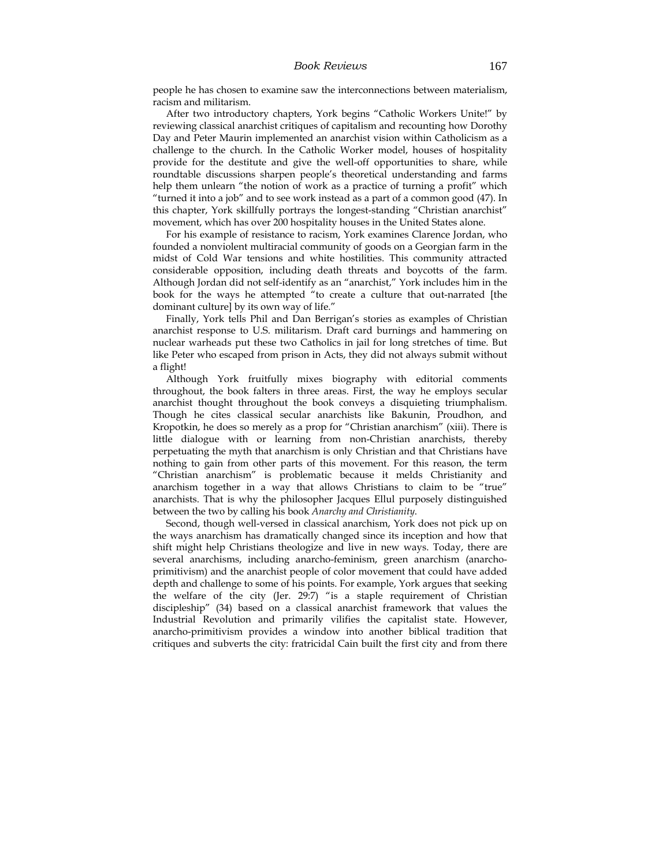people he has chosen to examine saw the interconnections between materialism, racism and militarism.

After two introductory chapters, York begins "Catholic Workers Unite!" by reviewing classical anarchist critiques of capitalism and recounting how Dorothy Day and Peter Maurin implemented an anarchist vision within Catholicism as a challenge to the church. In the Catholic Worker model, houses of hospitality provide for the destitute and give the well-off opportunities to share, while roundtable discussions sharpen people's theoretical understanding and farms help them unlearn "the notion of work as a practice of turning a profit" which "turned it into a job" and to see work instead as a part of a common good (47). In this chapter, York skillfully portrays the longest-standing "Christian anarchist" movement, which has over 200 hospitality houses in the United States alone.

For his example of resistance to racism, York examines Clarence Jordan, who founded a nonviolent multiracial community of goods on a Georgian farm in the midst of Cold War tensions and white hostilities. This community attracted considerable opposition, including death threats and boycotts of the farm. Although Jordan did not self-identify as an "anarchist," York includes him in the book for the ways he attempted "to create a culture that out-narrated [the dominant culture] by its own way of life."

Finally, York tells Phil and Dan Berrigan's stories as examples of Christian anarchist response to U.S. militarism. Draft card burnings and hammering on nuclear warheads put these two Catholics in jail for long stretches of time. But like Peter who escaped from prison in Acts, they did not always submit without a flight!

Although York fruitfully mixes biography with editorial comments throughout, the book falters in three areas. First, the way he employs secular anarchist thought throughout the book conveys a disquieting triumphalism. Though he cites classical secular anarchists like Bakunin, Proudhon, and Kropotkin, he does so merely as a prop for "Christian anarchism" (xiii). There is little dialogue with or learning from non-Christian anarchists, thereby perpetuating the myth that anarchism is only Christian and that Christians have nothing to gain from other parts of this movement. For this reason, the term "Christian anarchism" is problematic because it melds Christianity and anarchism together in a way that allows Christians to claim to be "true" anarchists. That is why the philosopher Jacques Ellul purposely distinguished between the two by calling his book *Anarchy and Christianity*.

Second, though well-versed in classical anarchism, York does not pick up on the ways anarchism has dramatically changed since its inception and how that shift might help Christians theologize and live in new ways. Today, there are several anarchisms, including anarcho-feminism, green anarchism (anarchoprimitivism) and the anarchist people of color movement that could have added depth and challenge to some of his points. For example, York argues that seeking the welfare of the city (Jer. 29:7) "is a staple requirement of Christian discipleship" (34) based on a classical anarchist framework that values the Industrial Revolution and primarily vilifies the capitalist state. However, anarcho-primitivism provides a window into another biblical tradition that critiques and subverts the city: fratricidal Cain built the first city and from there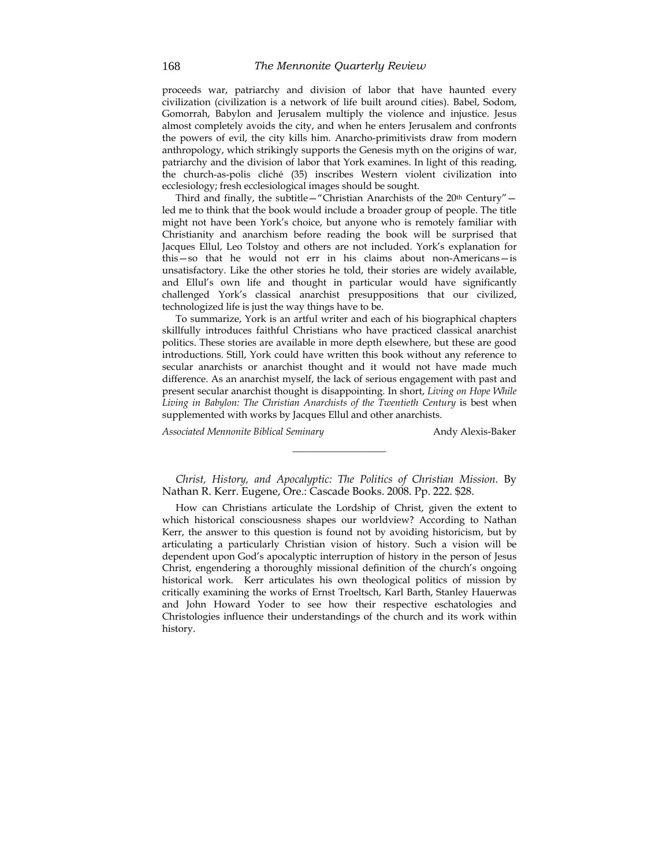proceeds war, patriarchy and division of labor that have haunted every civilization (civilization is a network of life built around cities). Babel, Sodom, Gomorrah, Babylon and Jerusalem multiply the violence and injustice. Jesus almost completely avoids the city, and when he enters Jerusalem and confronts the powers of evil, the city kills him. Anarcho-primitivists draw from modern anthropology, which strikingly supports the Genesis myth on the origins of war, patriarchy and the division of labor that York examines. In light of this reading, the church-as-polis cliché (35) inscribes Western violent civilization into ecclesiology; fresh ecclesiological images should be sought.

Third and finally, the subtitle—"Christian Anarchists of the 20<sup>th</sup> Century" led me to think that the book would include a broader group of people. The title might not have been York's choice, but anyone who is remotely familiar with Christianity and anarchism before reading the book will be surprised that Jacques Ellul, Leo Tolstoy and others are not included. York's explanation for this—so that he would not err in his claims about non-Americans—is unsatisfactory. Like the other stories he told, their stories are widely available, and Ellul's own life and thought in particular would have significantly challenged York's classical anarchist presuppositions that our civilized, technologized life is just the way things have to be.

To summarize, York is an artful writer and each of his biographical chapters skillfully introduces faithful Christians who have practiced classical anarchist politics. These stories are available in more depth elsewhere, but these are good introductions. Still, York could have written this book without any reference to secular anarchists or anarchist thought and it would not have made much difference. As an anarchist myself, the lack of serious engagement with past and present secular anarchist thought is disappointing. In short, *Living on Hope While Living in Babylon: The Christian Anarchists of the Twentieth Century* is best when supplemented with works by Jacques Ellul and other anarchists.

Associated Mennonite Biblical Seminary **Andy Alexis-Baker** 

*Christ, History, and Apocalyptic: The Politics of Christian Mission.* By Nathan R. Kerr. Eugene, Ore.: Cascade Books. 2008. Pp. 222. \$28.

\_\_\_\_\_\_\_\_\_\_\_\_\_\_\_\_\_\_\_

How can Christians articulate the Lordship of Christ, given the extent to which historical consciousness shapes our worldview? According to Nathan Kerr, the answer to this question is found not by avoiding historicism, but by articulating a particularly Christian vision of history. Such a vision will be dependent upon God's apocalyptic interruption of history in the person of Jesus Christ, engendering a thoroughly missional definition of the church's ongoing historical work. Kerr articulates his own theological politics of mission by critically examining the works of Ernst Troeltsch, Karl Barth, Stanley Hauerwas and John Howard Yoder to see how their respective eschatologies and Christologies influence their understandings of the church and its work within history.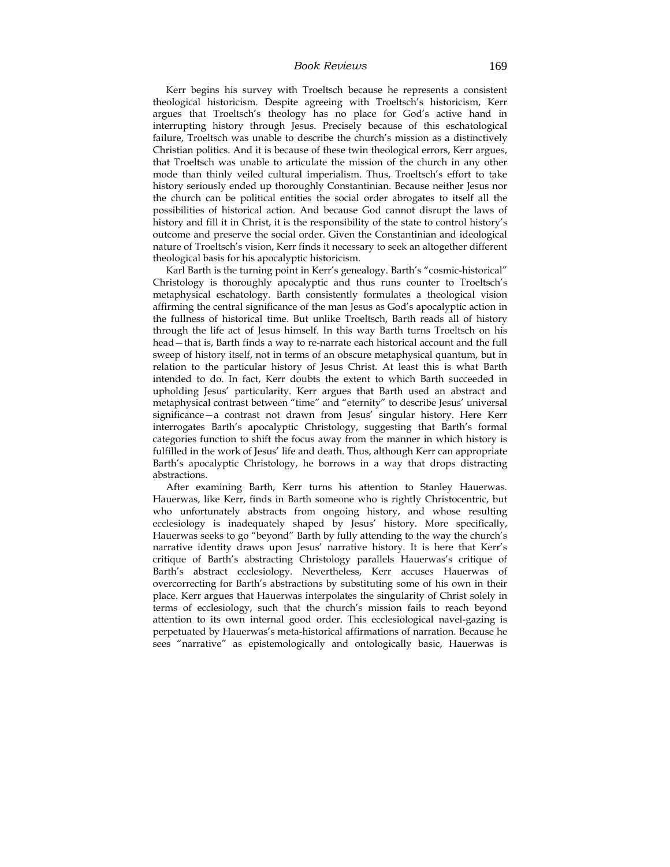#### *Book Reviews* 169

Kerr begins his survey with Troeltsch because he represents a consistent theological historicism. Despite agreeing with Troeltsch's historicism, Kerr argues that Troeltsch's theology has no place for God's active hand in interrupting history through Jesus. Precisely because of this eschatological failure, Troeltsch was unable to describe the church's mission as a distinctively Christian politics. And it is because of these twin theological errors, Kerr argues, that Troeltsch was unable to articulate the mission of the church in any other mode than thinly veiled cultural imperialism. Thus, Troeltsch's effort to take history seriously ended up thoroughly Constantinian. Because neither Jesus nor the church can be political entities the social order abrogates to itself all the possibilities of historical action. And because God cannot disrupt the laws of history and fill it in Christ, it is the responsibility of the state to control history's outcome and preserve the social order. Given the Constantinian and ideological nature of Troeltsch's vision, Kerr finds it necessary to seek an altogether different theological basis for his apocalyptic historicism.

Karl Barth is the turning point in Kerr's genealogy. Barth's "cosmic-historical" Christology is thoroughly apocalyptic and thus runs counter to Troeltsch's metaphysical eschatology. Barth consistently formulates a theological vision affirming the central significance of the man Jesus as God's apocalyptic action in the fullness of historical time. But unlike Troeltsch, Barth reads all of history through the life act of Jesus himself. In this way Barth turns Troeltsch on his head—that is, Barth finds a way to re-narrate each historical account and the full sweep of history itself, not in terms of an obscure metaphysical quantum, but in relation to the particular history of Jesus Christ. At least this is what Barth intended to do. In fact, Kerr doubts the extent to which Barth succeeded in upholding Jesus' particularity. Kerr argues that Barth used an abstract and metaphysical contrast between "time" and "eternity" to describe Jesus' universal significance—a contrast not drawn from Jesus' singular history. Here Kerr interrogates Barth's apocalyptic Christology, suggesting that Barth's formal categories function to shift the focus away from the manner in which history is fulfilled in the work of Jesus' life and death. Thus, although Kerr can appropriate Barth's apocalyptic Christology, he borrows in a way that drops distracting abstractions.

After examining Barth, Kerr turns his attention to Stanley Hauerwas. Hauerwas, like Kerr, finds in Barth someone who is rightly Christocentric, but who unfortunately abstracts from ongoing history, and whose resulting ecclesiology is inadequately shaped by Jesus' history. More specifically, Hauerwas seeks to go "beyond" Barth by fully attending to the way the church's narrative identity draws upon Jesus' narrative history. It is here that Kerr's critique of Barth's abstracting Christology parallels Hauerwas's critique of Barth's abstract ecclesiology. Nevertheless, Kerr accuses Hauerwas of overcorrecting for Barth's abstractions by substituting some of his own in their place. Kerr argues that Hauerwas interpolates the singularity of Christ solely in terms of ecclesiology, such that the church's mission fails to reach beyond attention to its own internal good order. This ecclesiological navel-gazing is perpetuated by Hauerwas's meta-historical affirmations of narration. Because he sees "narrative" as epistemologically and ontologically basic, Hauerwas is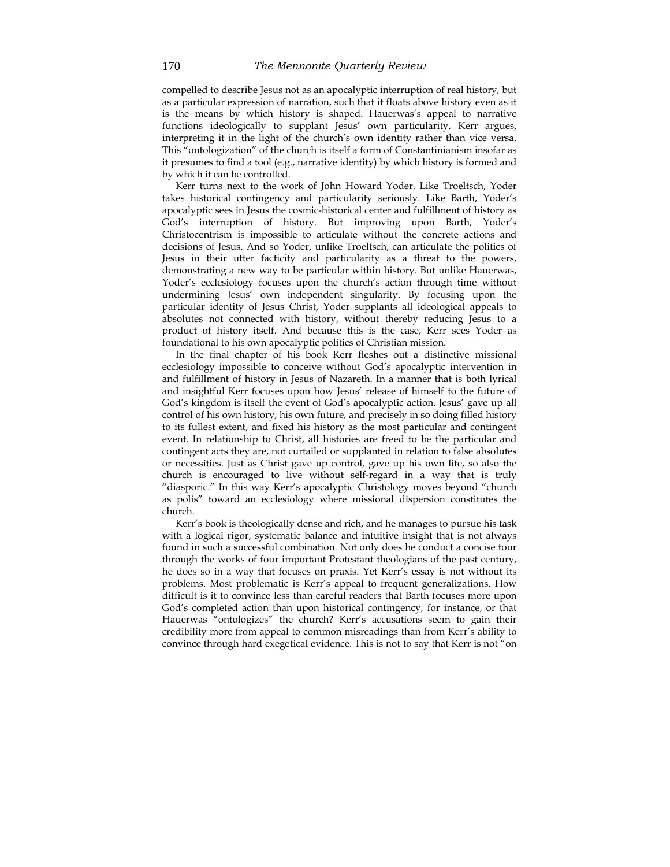compelled to describe Jesus not as an apocalyptic interruption of real history, but as a particular expression of narration, such that it floats above history even as it is the means by which history is shaped. Hauerwas's appeal to narrative functions ideologically to supplant Jesus' own particularity, Kerr argues, interpreting it in the light of the church's own identity rather than vice versa. This "ontologization" of the church is itself a form of Constantinianism insofar as it presumes to find a tool (e.g., narrative identity) by which history is formed and by which it can be controlled.

Kerr turns next to the work of John Howard Yoder. Like Troeltsch, Yoder takes historical contingency and particularity seriously. Like Barth, Yoder's apocalyptic sees in Jesus the cosmic-historical center and fulfillment of history as God's interruption of history. But improving upon Barth, Yoder's Christocentrism is impossible to articulate without the concrete actions and decisions of Jesus. And so Yoder, unlike Troeltsch, can articulate the politics of Jesus in their utter facticity and particularity as a threat to the powers, demonstrating a new way to be particular within history. But unlike Hauerwas, Yoder's ecclesiology focuses upon the church's action through time without undermining Jesus' own independent singularity. By focusing upon the particular identity of Jesus Christ, Yoder supplants all ideological appeals to absolutes not connected with history, without thereby reducing Jesus to a product of history itself. And because this is the case, Kerr sees Yoder as foundational to his own apocalyptic politics of Christian mission.

In the final chapter of his book Kerr fleshes out a distinctive missional ecclesiology impossible to conceive without God's apocalyptic intervention in and fulfillment of history in Jesus of Nazareth. In a manner that is both lyrical and insightful Kerr focuses upon how Jesus' release of himself to the future of God's kingdom is itself the event of God's apocalyptic action. Jesus' gave up all control of his own history, his own future, and precisely in so doing filled history to its fullest extent, and fixed his history as the most particular and contingent event. In relationship to Christ, all histories are freed to be the particular and contingent acts they are, not curtailed or supplanted in relation to false absolutes or necessities. Just as Christ gave up control, gave up his own life, so also the church is encouraged to live without self-regard in a way that is truly "diasporic." In this way Kerr's apocalyptic Christology moves beyond "church as polis" toward an ecclesiology where missional dispersion constitutes the church.

Kerr's book is theologically dense and rich, and he manages to pursue his task with a logical rigor, systematic balance and intuitive insight that is not always found in such a successful combination. Not only does he conduct a concise tour through the works of four important Protestant theologians of the past century, he does so in a way that focuses on praxis. Yet Kerr's essay is not without its problems. Most problematic is Kerr's appeal to frequent generalizations. How difficult is it to convince less than careful readers that Barth focuses more upon God's completed action than upon historical contingency, for instance, or that Hauerwas "ontologizes" the church? Kerr's accusations seem to gain their credibility more from appeal to common misreadings than from Kerr's ability to convince through hard exegetical evidence. This is not to say that Kerr is not "on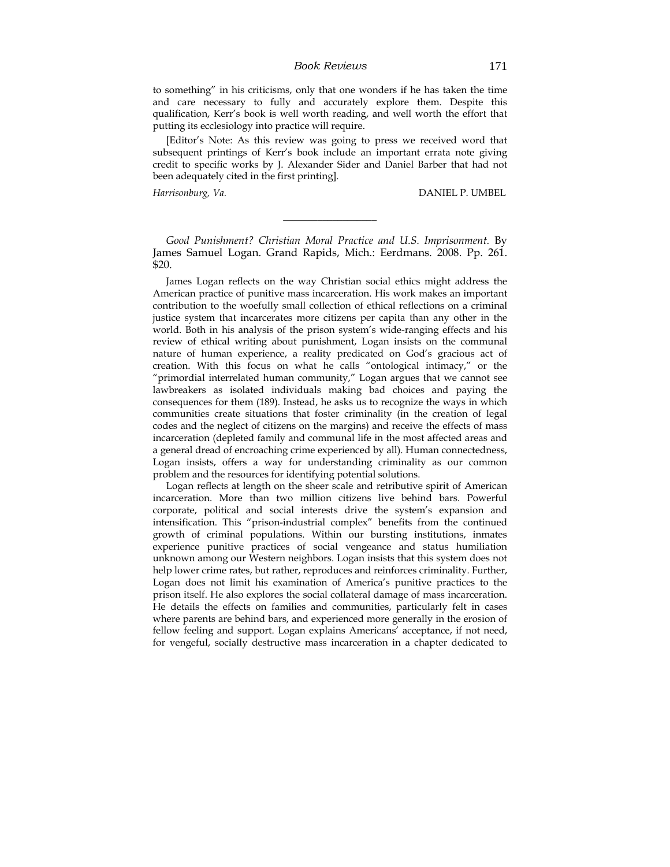to something" in his criticisms, only that one wonders if he has taken the time and care necessary to fully and accurately explore them. Despite this qualification, Kerr's book is well worth reading, and well worth the effort that putting its ecclesiology into practice will require.

[Editor's Note: As this review was going to press we received word that subsequent printings of Kerr's book include an important errata note giving credit to specific works by J. Alexander Sider and Daniel Barber that had not been adequately cited in the first printing].

*Harrisonburg, Va.* DANIEL P. UMBEL

*Good Punishment? Christian Moral Practice and U.S. Imprisonment.* By James Samuel Logan. Grand Rapids, Mich.: Eerdmans. 2008. Pp. 261. \$20.

\_\_\_\_\_\_\_\_\_\_\_\_\_\_\_\_\_\_\_

James Logan reflects on the way Christian social ethics might address the American practice of punitive mass incarceration. His work makes an important contribution to the woefully small collection of ethical reflections on a criminal justice system that incarcerates more citizens per capita than any other in the world. Both in his analysis of the prison system's wide-ranging effects and his review of ethical writing about punishment, Logan insists on the communal nature of human experience, a reality predicated on God's gracious act of creation. With this focus on what he calls "ontological intimacy," or the "primordial interrelated human community," Logan argues that we cannot see lawbreakers as isolated individuals making bad choices and paying the consequences for them (189). Instead, he asks us to recognize the ways in which communities create situations that foster criminality (in the creation of legal codes and the neglect of citizens on the margins) and receive the effects of mass incarceration (depleted family and communal life in the most affected areas and a general dread of encroaching crime experienced by all). Human connectedness, Logan insists, offers a way for understanding criminality as our common problem and the resources for identifying potential solutions.

Logan reflects at length on the sheer scale and retributive spirit of American incarceration. More than two million citizens live behind bars. Powerful corporate, political and social interests drive the system's expansion and intensification. This "prison-industrial complex" benefits from the continued growth of criminal populations. Within our bursting institutions, inmates experience punitive practices of social vengeance and status humiliation unknown among our Western neighbors. Logan insists that this system does not help lower crime rates, but rather, reproduces and reinforces criminality. Further, Logan does not limit his examination of America's punitive practices to the prison itself. He also explores the social collateral damage of mass incarceration. He details the effects on families and communities, particularly felt in cases where parents are behind bars, and experienced more generally in the erosion of fellow feeling and support. Logan explains Americans' acceptance, if not need, for vengeful, socially destructive mass incarceration in a chapter dedicated to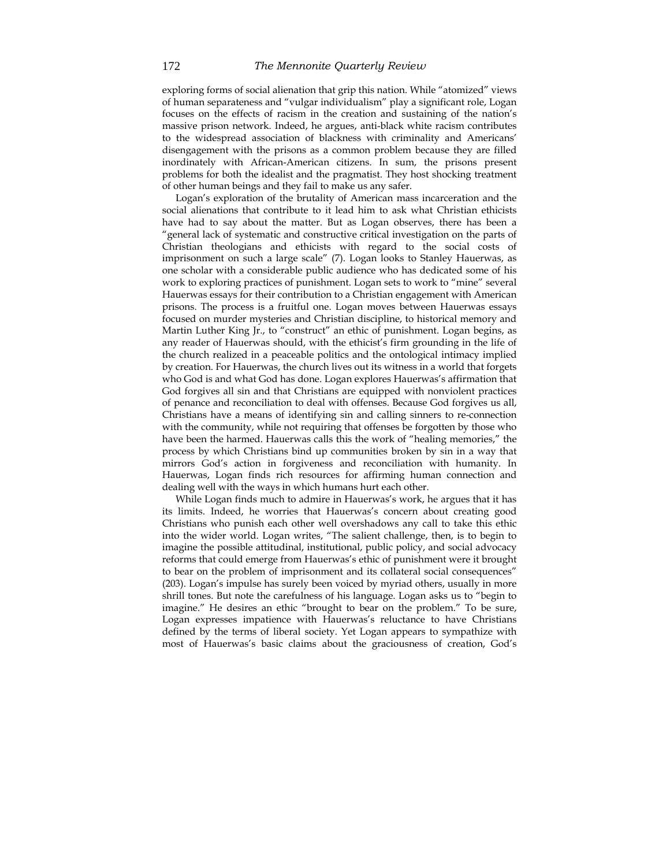exploring forms of social alienation that grip this nation. While "atomized" views of human separateness and "vulgar individualism" play a significant role, Logan focuses on the effects of racism in the creation and sustaining of the nation's massive prison network. Indeed, he argues, anti-black white racism contributes to the widespread association of blackness with criminality and Americans' disengagement with the prisons as a common problem because they are filled inordinately with African-American citizens. In sum, the prisons present problems for both the idealist and the pragmatist. They host shocking treatment of other human beings and they fail to make us any safer.

Logan's exploration of the brutality of American mass incarceration and the social alienations that contribute to it lead him to ask what Christian ethicists have had to say about the matter. But as Logan observes, there has been a "general lack of systematic and constructive critical investigation on the parts of Christian theologians and ethicists with regard to the social costs of imprisonment on such a large scale" (7). Logan looks to Stanley Hauerwas, as one scholar with a considerable public audience who has dedicated some of his work to exploring practices of punishment. Logan sets to work to "mine" several Hauerwas essays for their contribution to a Christian engagement with American prisons. The process is a fruitful one. Logan moves between Hauerwas essays focused on murder mysteries and Christian discipline, to historical memory and Martin Luther King Jr., to "construct" an ethic of punishment. Logan begins, as any reader of Hauerwas should, with the ethicist's firm grounding in the life of the church realized in a peaceable politics and the ontological intimacy implied by creation. For Hauerwas, the church lives out its witness in a world that forgets who God is and what God has done. Logan explores Hauerwas's affirmation that God forgives all sin and that Christians are equipped with nonviolent practices of penance and reconciliation to deal with offenses. Because God forgives us all, Christians have a means of identifying sin and calling sinners to re-connection with the community, while not requiring that offenses be forgotten by those who have been the harmed. Hauerwas calls this the work of "healing memories," the process by which Christians bind up communities broken by sin in a way that mirrors God's action in forgiveness and reconciliation with humanity. In Hauerwas, Logan finds rich resources for affirming human connection and dealing well with the ways in which humans hurt each other.

While Logan finds much to admire in Hauerwas's work, he argues that it has its limits. Indeed, he worries that Hauerwas's concern about creating good Christians who punish each other well overshadows any call to take this ethic into the wider world. Logan writes, "The salient challenge, then, is to begin to imagine the possible attitudinal, institutional, public policy, and social advocacy reforms that could emerge from Hauerwas's ethic of punishment were it brought to bear on the problem of imprisonment and its collateral social consequences" (203). Logan's impulse has surely been voiced by myriad others, usually in more shrill tones. But note the carefulness of his language. Logan asks us to "begin to imagine." He desires an ethic "brought to bear on the problem." To be sure, Logan expresses impatience with Hauerwas's reluctance to have Christians defined by the terms of liberal society. Yet Logan appears to sympathize with most of Hauerwas's basic claims about the graciousness of creation, God's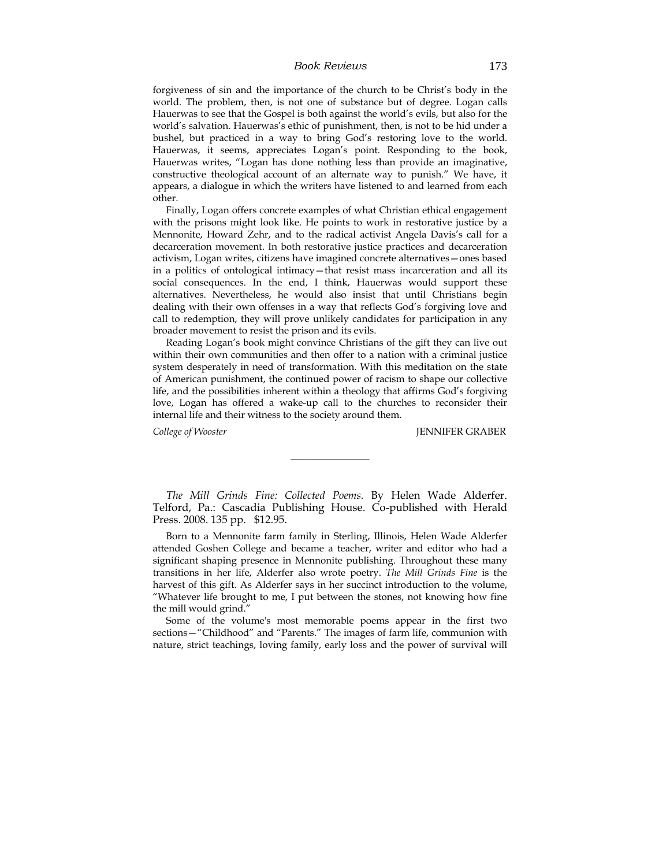### *Book Reviews* 173

forgiveness of sin and the importance of the church to be Christ's body in the world. The problem, then, is not one of substance but of degree. Logan calls Hauerwas to see that the Gospel is both against the world's evils, but also for the world's salvation. Hauerwas's ethic of punishment, then, is not to be hid under a bushel, but practiced in a way to bring God's restoring love to the world. Hauerwas, it seems, appreciates Logan's point. Responding to the book, Hauerwas writes, "Logan has done nothing less than provide an imaginative, constructive theological account of an alternate way to punish." We have, it appears, a dialogue in which the writers have listened to and learned from each other.

Finally, Logan offers concrete examples of what Christian ethical engagement with the prisons might look like. He points to work in restorative justice by a Mennonite, Howard Zehr, and to the radical activist Angela Davis's call for a decarceration movement. In both restorative justice practices and decarceration activism, Logan writes, citizens have imagined concrete alternatives—ones based in a politics of ontological intimacy—that resist mass incarceration and all its social consequences. In the end, I think, Hauerwas would support these alternatives. Nevertheless, he would also insist that until Christians begin dealing with their own offenses in a way that reflects God's forgiving love and call to redemption, they will prove unlikely candidates for participation in any broader movement to resist the prison and its evils.

Reading Logan's book might convince Christians of the gift they can live out within their own communities and then offer to a nation with a criminal justice system desperately in need of transformation. With this meditation on the state of American punishment, the continued power of racism to shape our collective life, and the possibilities inherent within a theology that affirms God's forgiving love, Logan has offered a wake-up call to the churches to reconsider their internal life and their witness to the society around them.

*College of Wooster* JENNIFER GRABER

*The Mill Grinds Fine: Collected Poems.* By Helen Wade Alderfer. Telford, Pa.: Cascadia Publishing House. Co-published with Herald Press. 2008. 135 pp. \$12.95.

\_\_\_\_\_\_\_\_\_\_\_\_\_\_\_\_

Born to a Mennonite farm family in Sterling, Illinois, Helen Wade Alderfer attended Goshen College and became a teacher, writer and editor who had a significant shaping presence in Mennonite publishing. Throughout these many transitions in her life, Alderfer also wrote poetry. *The Mill Grinds Fine* is the harvest of this gift. As Alderfer says in her succinct introduction to the volume, "Whatever life brought to me, I put between the stones, not knowing how fine the mill would grind."

Some of the volume's most memorable poems appear in the first two sections—"Childhood" and "Parents." The images of farm life, communion with nature, strict teachings, loving family, early loss and the power of survival will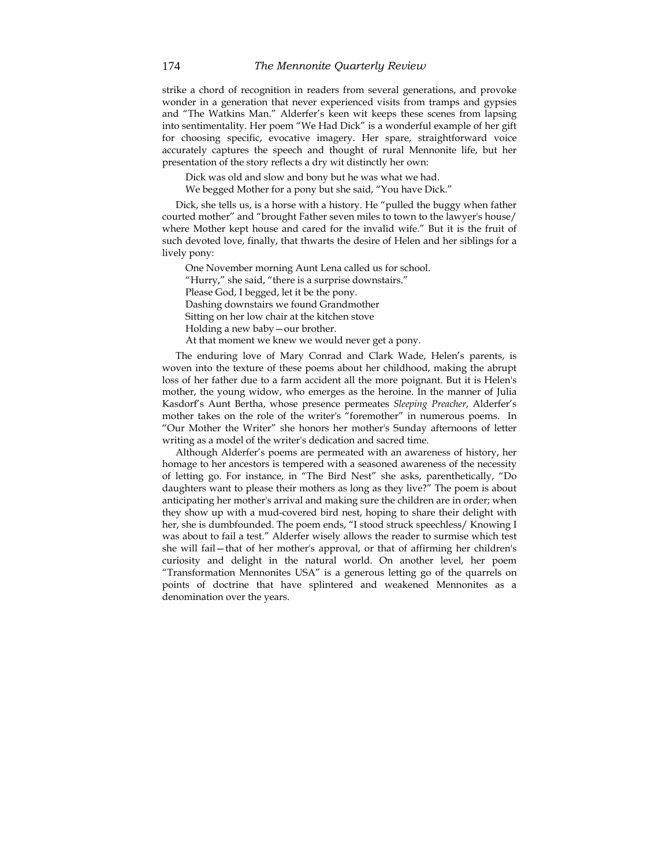strike a chord of recognition in readers from several generations, and provoke wonder in a generation that never experienced visits from tramps and gypsies and "The Watkins Man." Alderfer's keen wit keeps these scenes from lapsing into sentimentality. Her poem "We Had Dick" is a wonderful example of her gift for choosing specific, evocative imagery. Her spare, straightforward voice accurately captures the speech and thought of rural Mennonite life, but her presentation of the story reflects a dry wit distinctly her own:

Dick was old and slow and bony but he was what we had.

We begged Mother for a pony but she said, "You have Dick."

Dick, she tells us, is a horse with a history. He "pulled the buggy when father courted mother" and "brought Father seven miles to town to the lawyer's house/ where Mother kept house and cared for the invalid wife." But it is the fruit of such devoted love, finally, that thwarts the desire of Helen and her siblings for a lively pony:

 One November morning Aunt Lena called us for school. "Hurry," she said, "there is a surprise downstairs." Please God, I begged, let it be the pony. Dashing downstairs we found Grandmother Sitting on her low chair at the kitchen stove Holding a new baby—our brother. At that moment we knew we would never get a pony.

The enduring love of Mary Conrad and Clark Wade, Helen's parents, is woven into the texture of these poems about her childhood, making the abrupt loss of her father due to a farm accident all the more poignant. But it is Helen's mother, the young widow, who emerges as the heroine. In the manner of Julia Kasdorf's Aunt Bertha, whose presence permeates *Sleeping Preacher*, Alderfer's mother takes on the role of the writer's "foremother" in numerous poems. In "Our Mother the Writer" she honors her mother's Sunday afternoons of letter writing as a model of the writer's dedication and sacred time.

Although Alderfer's poems are permeated with an awareness of history, her homage to her ancestors is tempered with a seasoned awareness of the necessity of letting go. For instance, in "The Bird Nest" she asks, parenthetically, "Do daughters want to please their mothers as long as they live?" The poem is about anticipating her mother's arrival and making sure the children are in order; when they show up with a mud-covered bird nest, hoping to share their delight with her, she is dumbfounded. The poem ends, "I stood struck speechless/ Knowing I was about to fail a test." Alderfer wisely allows the reader to surmise which test she will fail—that of her mother's approval, or that of affirming her children's curiosity and delight in the natural world. On another level, her poem "Transformation Mennonites USA" is a generous letting go of the quarrels on points of doctrine that have splintered and weakened Mennonites as a denomination over the years.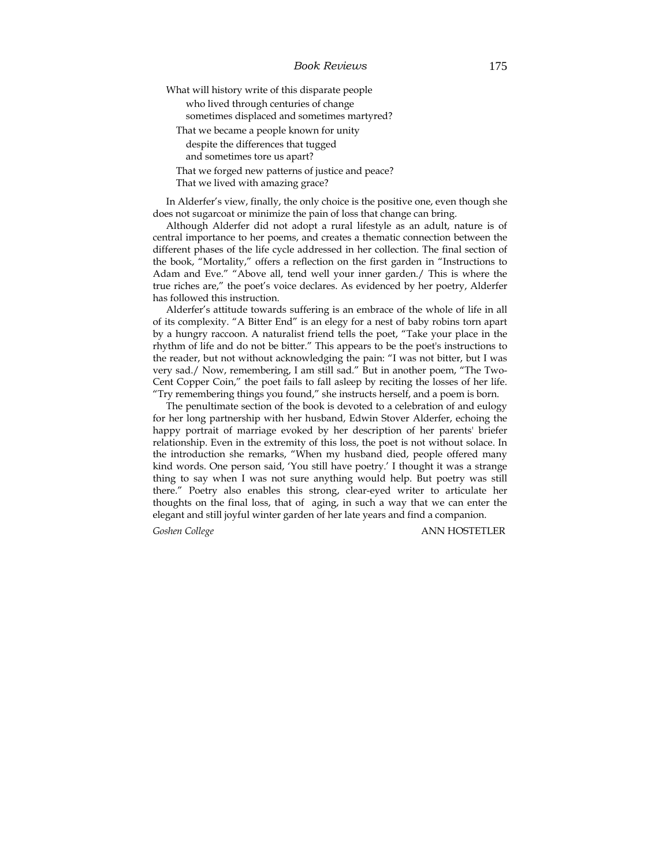| What will history write of this disparate people  |  |
|---------------------------------------------------|--|
| who lived through centuries of change             |  |
| sometimes displaced and sometimes martyred?       |  |
| That we became a people known for unity           |  |
| despite the differences that tugged               |  |
| and sometimes tore us apart?                      |  |
| That we forged new patterns of justice and peace? |  |
| That we lived with amazing grace?                 |  |

In Alderfer's view, finally, the only choice is the positive one, even though she does not sugarcoat or minimize the pain of loss that change can bring.

Although Alderfer did not adopt a rural lifestyle as an adult, nature is of central importance to her poems, and creates a thematic connection between the different phases of the life cycle addressed in her collection. The final section of the book, "Mortality," offers a reflection on the first garden in "Instructions to Adam and Eve." "Above all, tend well your inner garden./ This is where the true riches are," the poet's voice declares. As evidenced by her poetry, Alderfer has followed this instruction.

Alderfer's attitude towards suffering is an embrace of the whole of life in all of its complexity. "A Bitter End" is an elegy for a nest of baby robins torn apart by a hungry raccoon. A naturalist friend tells the poet, "Take your place in the rhythm of life and do not be bitter." This appears to be the poet's instructions to the reader, but not without acknowledging the pain: "I was not bitter, but I was very sad./ Now, remembering, I am still sad." But in another poem, "The Two-Cent Copper Coin," the poet fails to fall asleep by reciting the losses of her life. "Try remembering things you found," she instructs herself, and a poem is born.

The penultimate section of the book is devoted to a celebration of and eulogy for her long partnership with her husband, Edwin Stover Alderfer, echoing the happy portrait of marriage evoked by her description of her parents' briefer relationship. Even in the extremity of this loss, the poet is not without solace. In the introduction she remarks, "When my husband died, people offered many kind words. One person said, 'You still have poetry.' I thought it was a strange thing to say when I was not sure anything would help. But poetry was still there." Poetry also enables this strong, clear-eyed writer to articulate her thoughts on the final loss, that of aging, in such a way that we can enter the elegant and still joyful winter garden of her late years and find a companion.

*Goshen College* ANN HOSTETLER